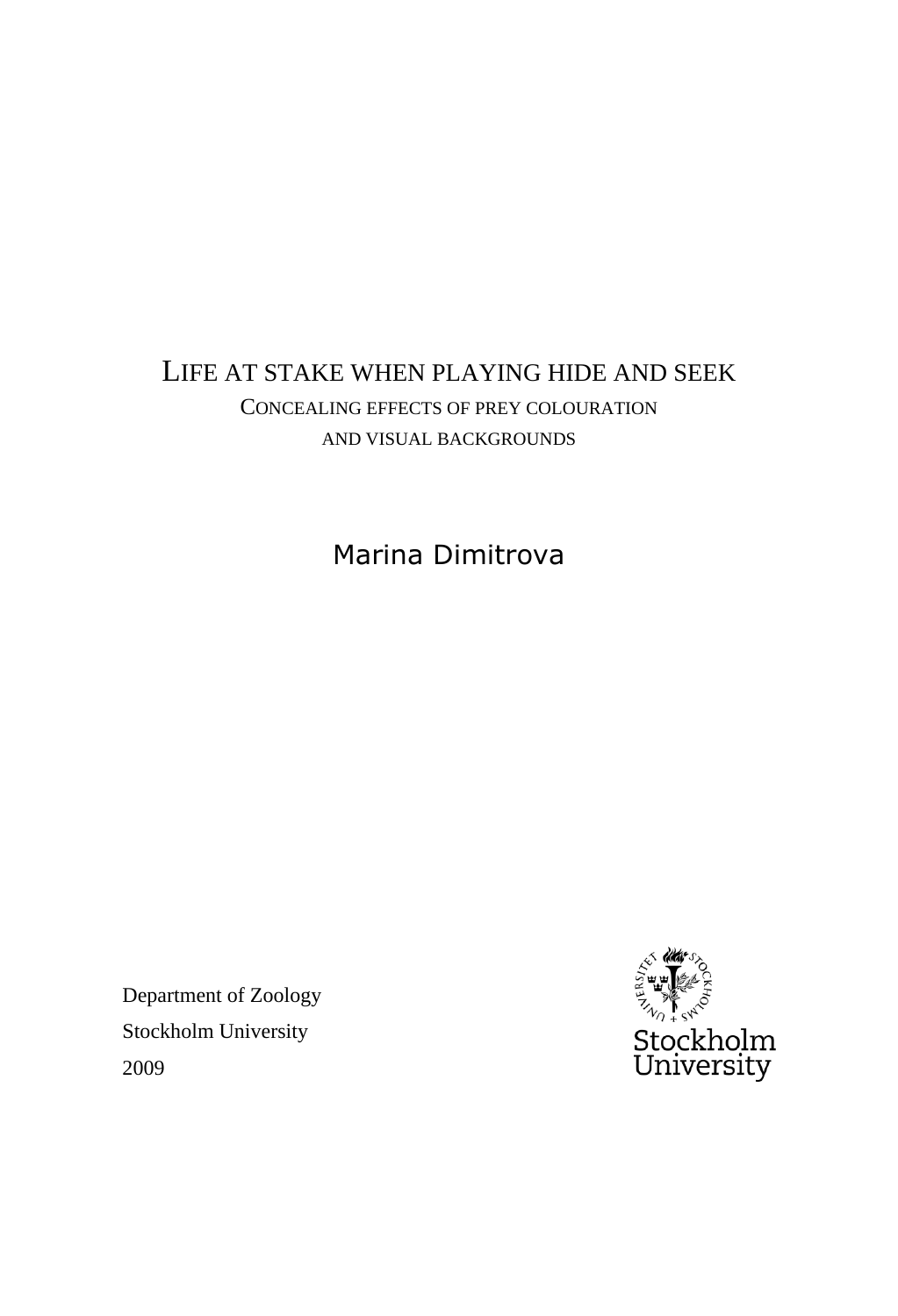# LIFE AT STAKE WHEN PLAYING HIDE AND SEEK CONCEALING EFFECTS OF PREY COLOURATION AND VISUAL BACKGROUNDS

Marina Dimitrova

Department of Zoology Stockholm University 2009

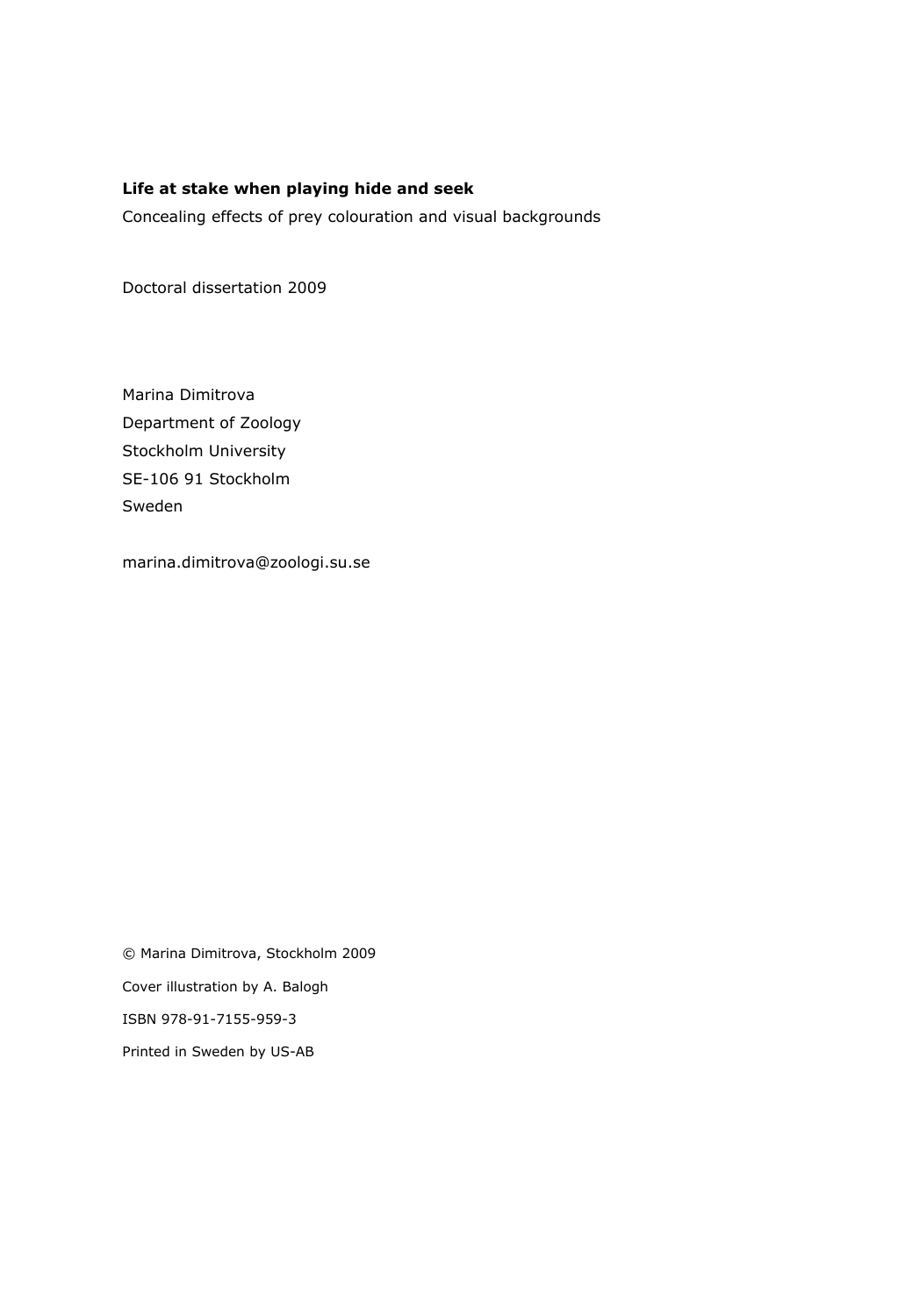#### **Life at stake when playing hide and seek**

Concealing effects of prey colouration and visual backgrounds

Doctoral dissertation 2009

Marina Dimitrova Department of Zoology Stockholm University SE-106 91 Stockholm Sweden

marina.dimitrova@zoologi.su.se

© Marina Dimitrova, Stockholm 2009 Cover illustration by A. Balogh ISBN 978-91-7155-959-3 Printed in Sweden by US-AB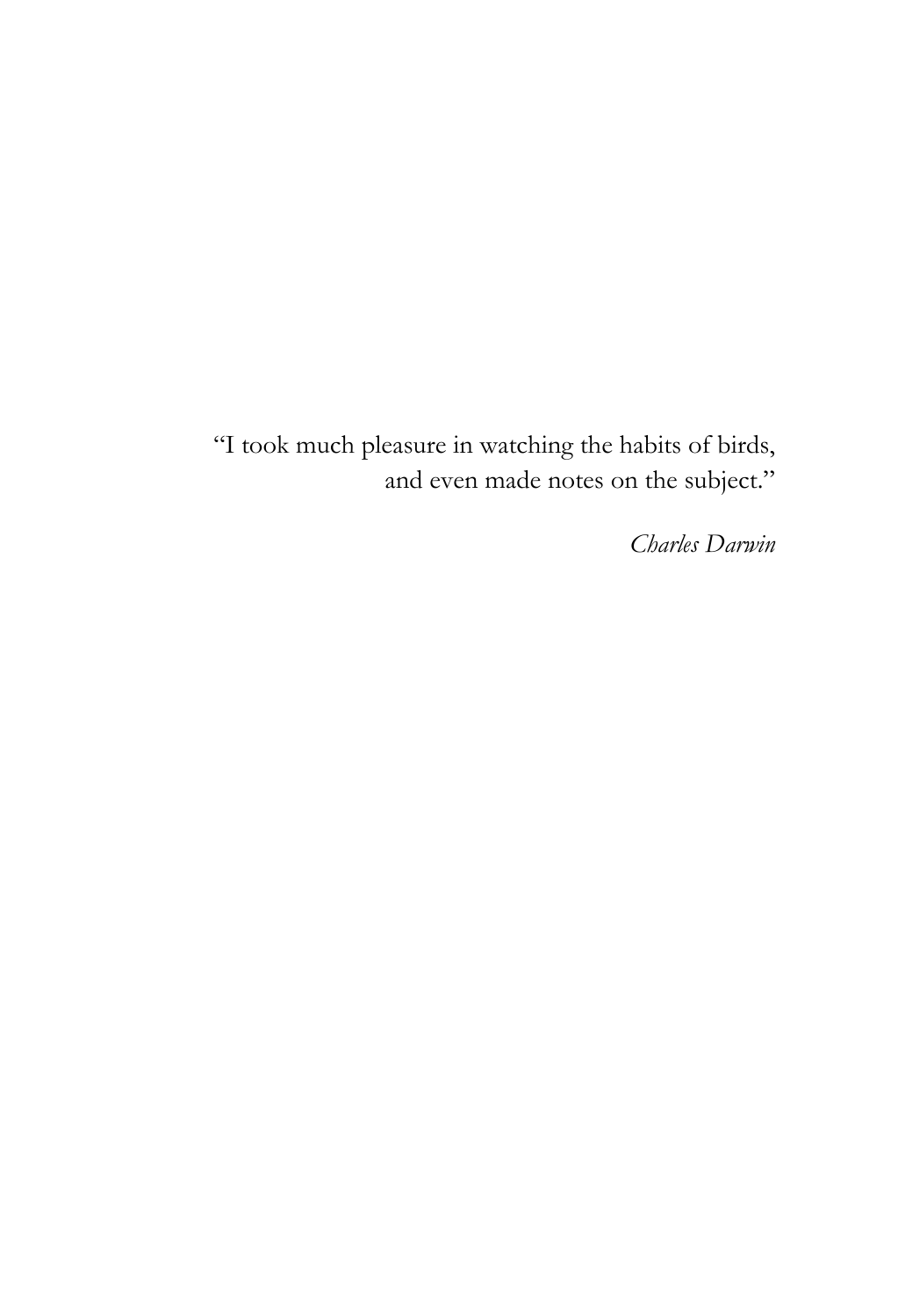"I took much pleasure in watching the habits of birds, and even made notes on the subject."

*Charles Darwin*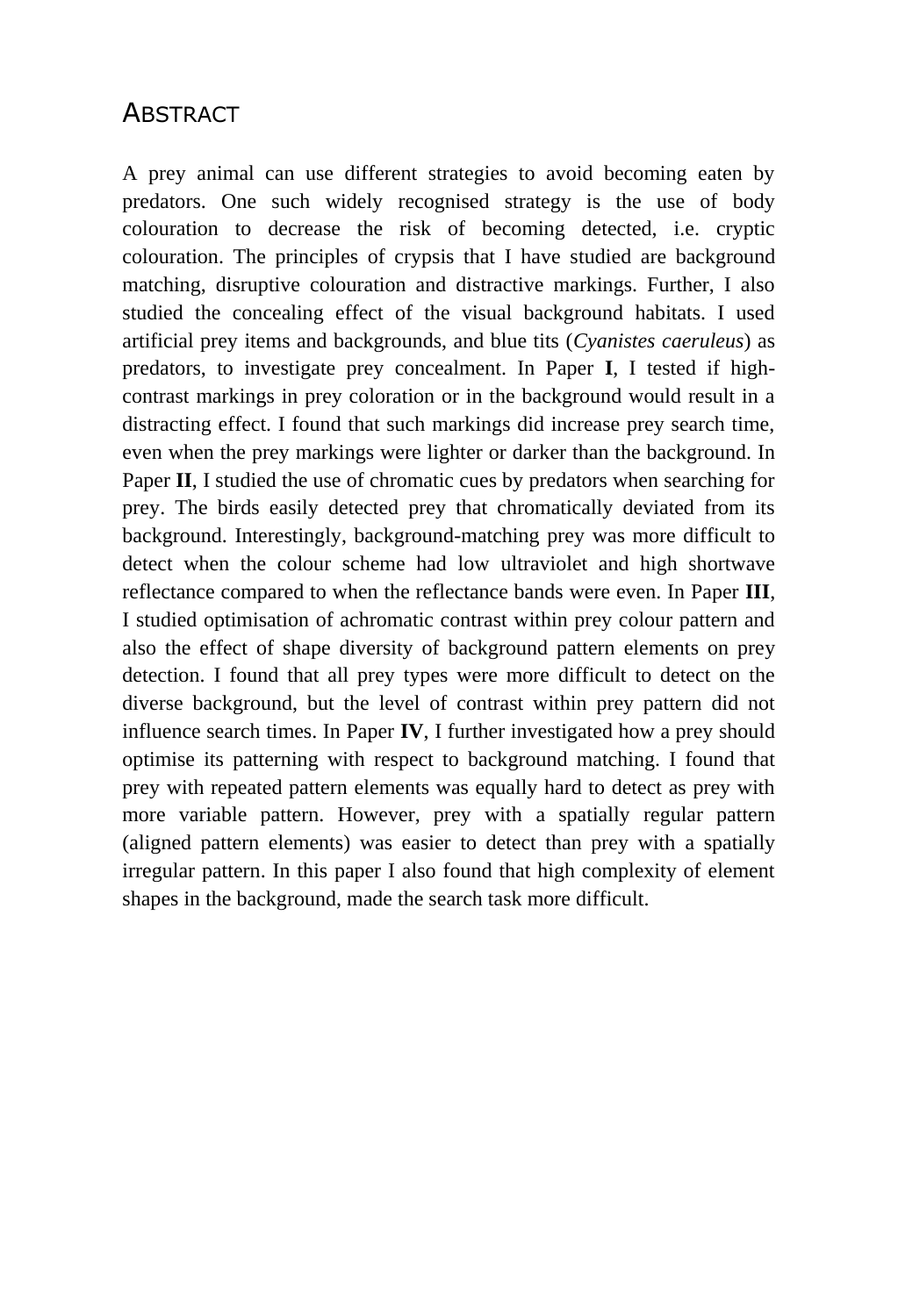### **ABSTRACT**

A prey animal can use different strategies to avoid becoming eaten by predators. One such widely recognised strategy is the use of body colouration to decrease the risk of becoming detected, i.e. cryptic colouration. The principles of crypsis that I have studied are background matching, disruptive colouration and distractive markings. Further, I also studied the concealing effect of the visual background habitats. I used artificial prey items and backgrounds, and blue tits (*Cyanistes caeruleus*) as predators, to investigate prey concealment. In Paper **I**, I tested if highcontrast markings in prey coloration or in the background would result in a distracting effect. I found that such markings did increase prey search time, even when the prey markings were lighter or darker than the background. In Paper **II**, I studied the use of chromatic cues by predators when searching for prey. The birds easily detected prey that chromatically deviated from its background. Interestingly, background-matching prey was more difficult to detect when the colour scheme had low ultraviolet and high shortwave reflectance compared to when the reflectance bands were even. In Paper **III**, I studied optimisation of achromatic contrast within prey colour pattern and also the effect of shape diversity of background pattern elements on prey detection. I found that all prey types were more difficult to detect on the diverse background, but the level of contrast within prey pattern did not influence search times. In Paper **IV**, I further investigated how a prey should optimise its patterning with respect to background matching. I found that prey with repeated pattern elements was equally hard to detect as prey with more variable pattern. However, prey with a spatially regular pattern (aligned pattern elements) was easier to detect than prey with a spatially irregular pattern. In this paper I also found that high complexity of element shapes in the background, made the search task more difficult.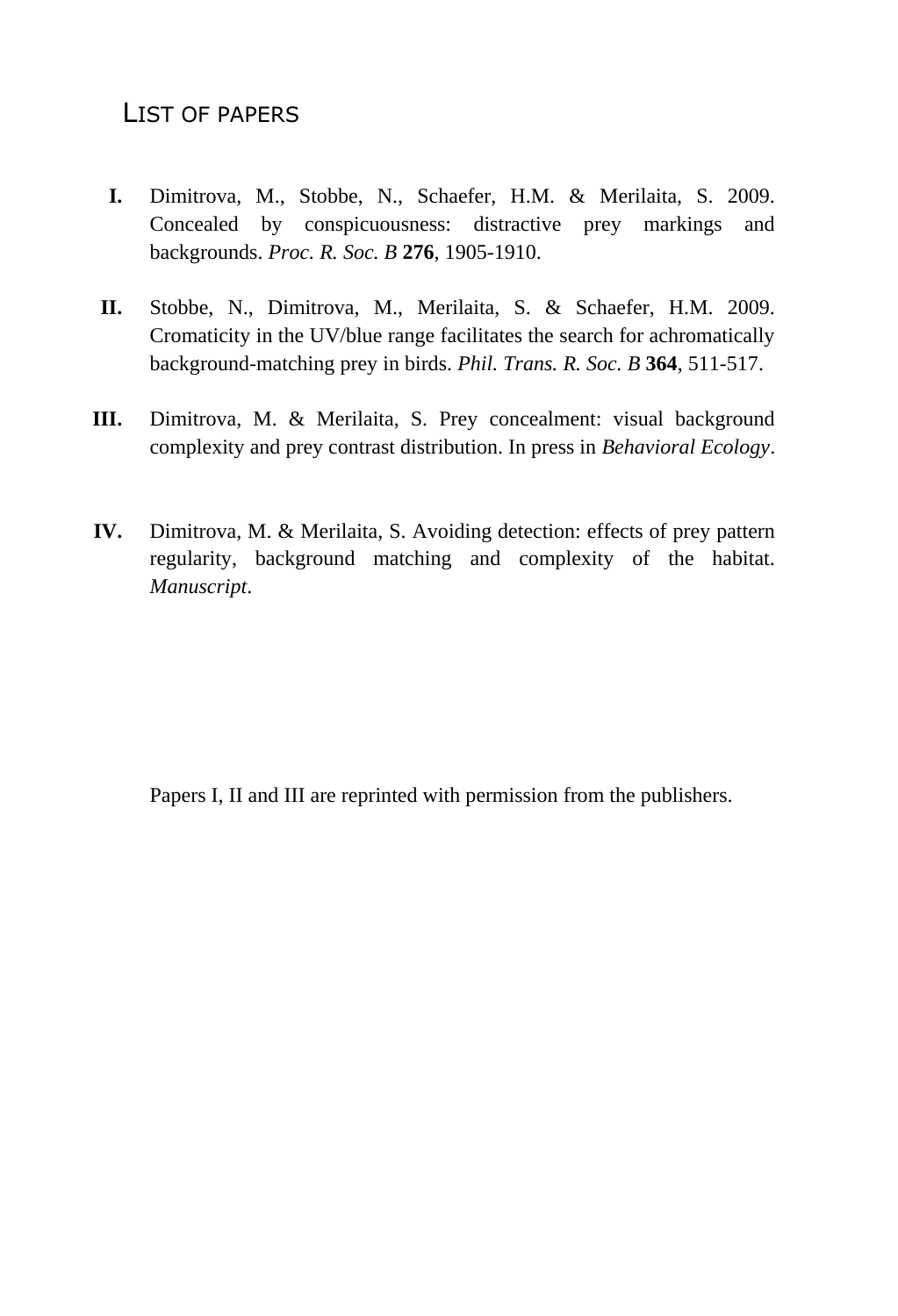### LIST OF PAPERS

- **I.** Dimitrova, M., Stobbe, N., Schaefer, H.M. & Merilaita, S. 2009. Concealed by conspicuousness: distractive prey markings and backgrounds. *Proc. R. Soc. B* **276**, 1905-1910.
- **II.** Stobbe, N., Dimitrova, M., Merilaita, S. & Schaefer, H.M. 2009. Cromaticity in the UV/blue range facilitates the search for achromatically background-matching prey in birds. *Phil. Trans. R. Soc. B* **364**, 511-517.
- **III.** Dimitrova, M. & Merilaita, S. Prey concealment: visual background complexity and prey contrast distribution. In press in *Behavioral Ecology*.
- **IV.** Dimitrova, M. & Merilaita, S. Avoiding detection: effects of prey pattern regularity, background matching and complexity of the habitat. *Manuscript*.

Papers I, II and III are reprinted with permission from the publishers.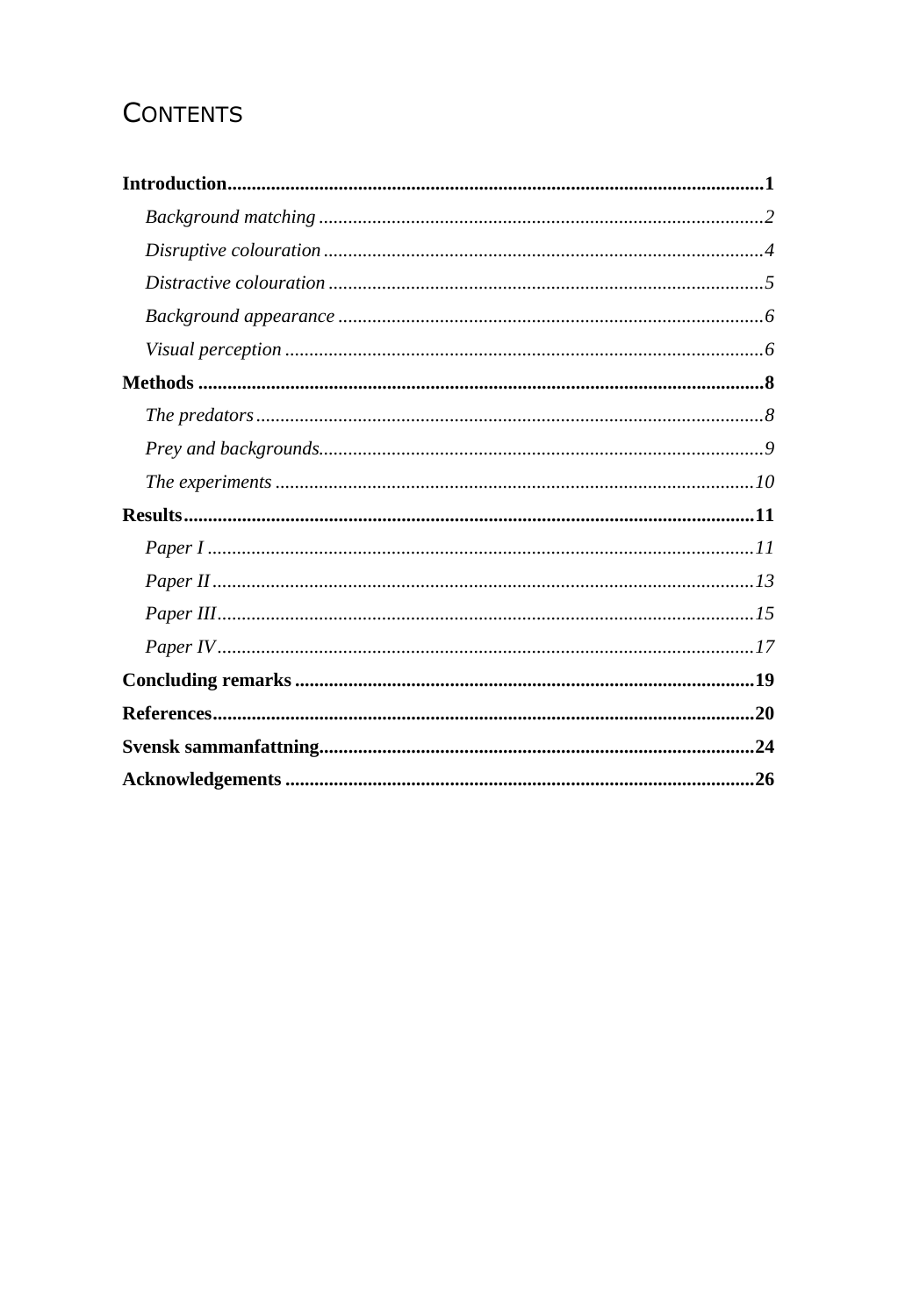# **CONTENTS**

| .26 |
|-----|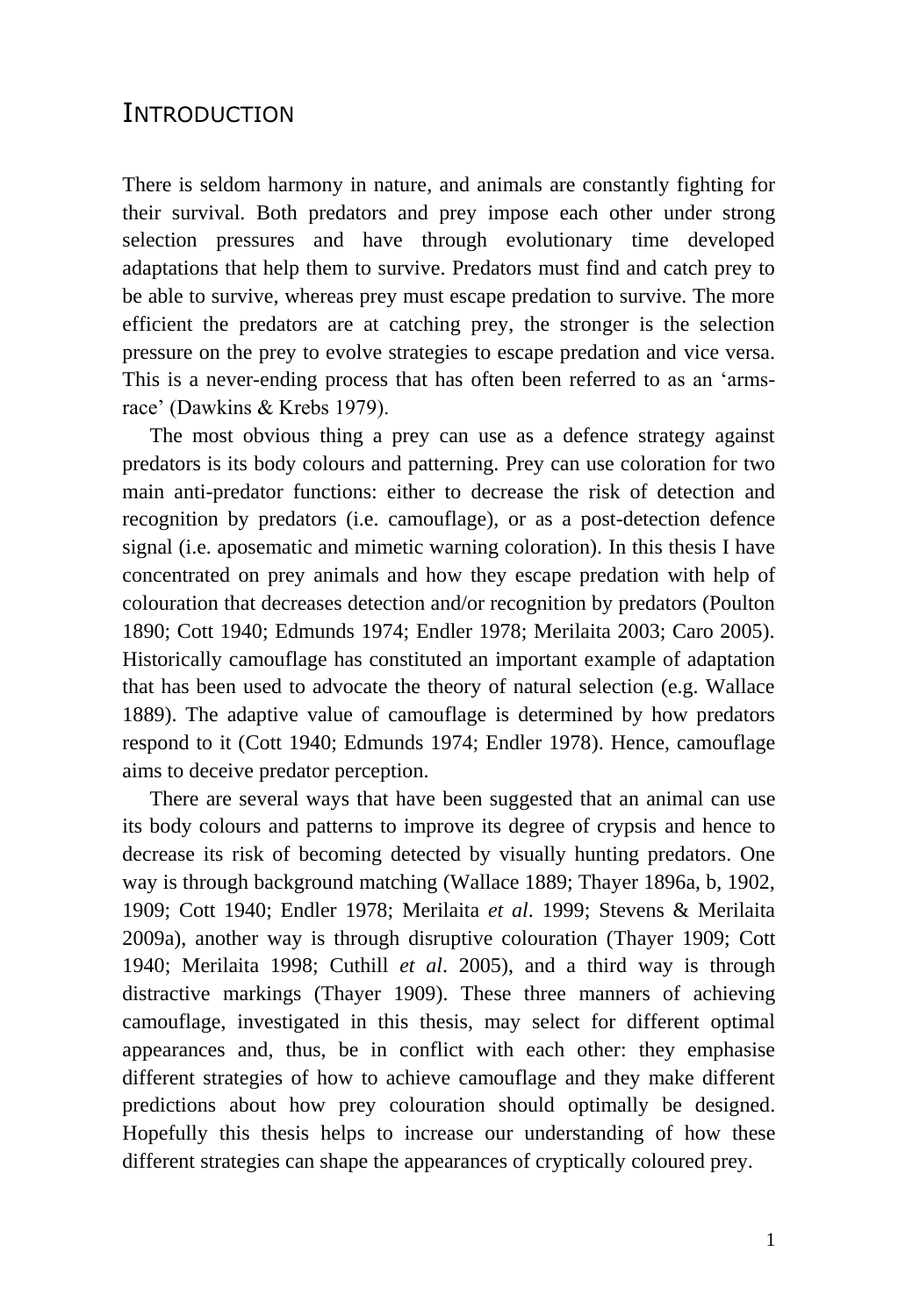### **INTRODUCTION**

There is seldom harmony in nature, and animals are constantly fighting for their survival. Both predators and prey impose each other under strong selection pressures and have through evolutionary time developed adaptations that help them to survive. Predators must find and catch prey to be able to survive, whereas prey must escape predation to survive. The more efficient the predators are at catching prey, the stronger is the selection pressure on the prey to evolve strategies to escape predation and vice versa. This is a never-ending process that has often been referred to as an "armsrace' (Dawkins & Krebs 1979).

The most obvious thing a prey can use as a defence strategy against predators is its body colours and patterning. Prey can use coloration for two main anti-predator functions: either to decrease the risk of detection and recognition by predators (i.e. camouflage), or as a post-detection defence signal (i.e. aposematic and mimetic warning coloration). In this thesis I have concentrated on prey animals and how they escape predation with help of colouration that decreases detection and/or recognition by predators (Poulton 1890; Cott 1940; Edmunds 1974; Endler 1978; Merilaita 2003; Caro 2005). Historically camouflage has constituted an important example of adaptation that has been used to advocate the theory of natural selection (e.g. Wallace 1889). The adaptive value of camouflage is determined by how predators respond to it (Cott 1940; Edmunds 1974; Endler 1978). Hence, camouflage aims to deceive predator perception.

There are several ways that have been suggested that an animal can use its body colours and patterns to improve its degree of crypsis and hence to decrease its risk of becoming detected by visually hunting predators. One way is through background matching (Wallace 1889; Thayer 1896a, b, 1902, 1909; Cott 1940; Endler 1978; Merilaita *et al*. 1999; Stevens & Merilaita 2009a), another way is through disruptive colouration (Thayer 1909; Cott 1940; Merilaita 1998; Cuthill *et al*. 2005), and a third way is through distractive markings (Thayer 1909). These three manners of achieving camouflage, investigated in this thesis, may select for different optimal appearances and, thus, be in conflict with each other: they emphasise different strategies of how to achieve camouflage and they make different predictions about how prey colouration should optimally be designed. Hopefully this thesis helps to increase our understanding of how these different strategies can shape the appearances of cryptically coloured prey.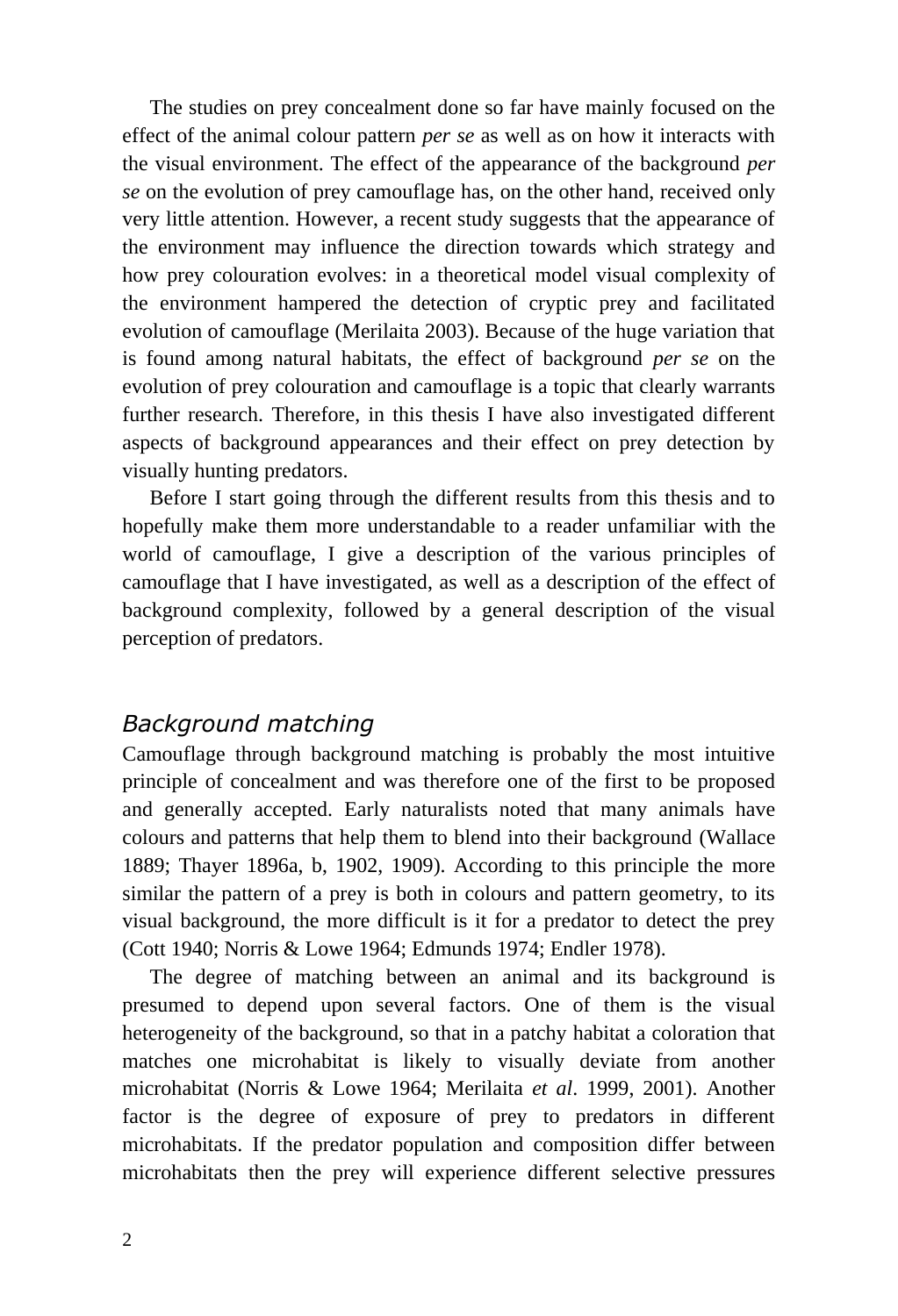The studies on prey concealment done so far have mainly focused on the effect of the animal colour pattern *per se* as well as on how it interacts with the visual environment. The effect of the appearance of the background *per se* on the evolution of prey camouflage has, on the other hand, received only very little attention. However, a recent study suggests that the appearance of the environment may influence the direction towards which strategy and how prey colouration evolves: in a theoretical model visual complexity of the environment hampered the detection of cryptic prey and facilitated evolution of camouflage (Merilaita 2003). Because of the huge variation that is found among natural habitats, the effect of background *per se* on the evolution of prey colouration and camouflage is a topic that clearly warrants further research. Therefore, in this thesis I have also investigated different aspects of background appearances and their effect on prey detection by visually hunting predators.

Before I start going through the different results from this thesis and to hopefully make them more understandable to a reader unfamiliar with the world of camouflage, I give a description of the various principles of camouflage that I have investigated, as well as a description of the effect of background complexity, followed by a general description of the visual perception of predators.

#### *Background matching*

Camouflage through background matching is probably the most intuitive principle of concealment and was therefore one of the first to be proposed and generally accepted. Early naturalists noted that many animals have colours and patterns that help them to blend into their background (Wallace 1889; Thayer 1896a, b, 1902, 1909). According to this principle the more similar the pattern of a prey is both in colours and pattern geometry, to its visual background, the more difficult is it for a predator to detect the prey (Cott 1940; Norris & Lowe 1964; Edmunds 1974; Endler 1978).

The degree of matching between an animal and its background is presumed to depend upon several factors. One of them is the visual heterogeneity of the background, so that in a patchy habitat a coloration that matches one microhabitat is likely to visually deviate from another microhabitat (Norris & Lowe 1964; Merilaita *et al*. 1999, 2001). Another factor is the degree of exposure of prey to predators in different microhabitats. If the predator population and composition differ between microhabitats then the prey will experience different selective pressures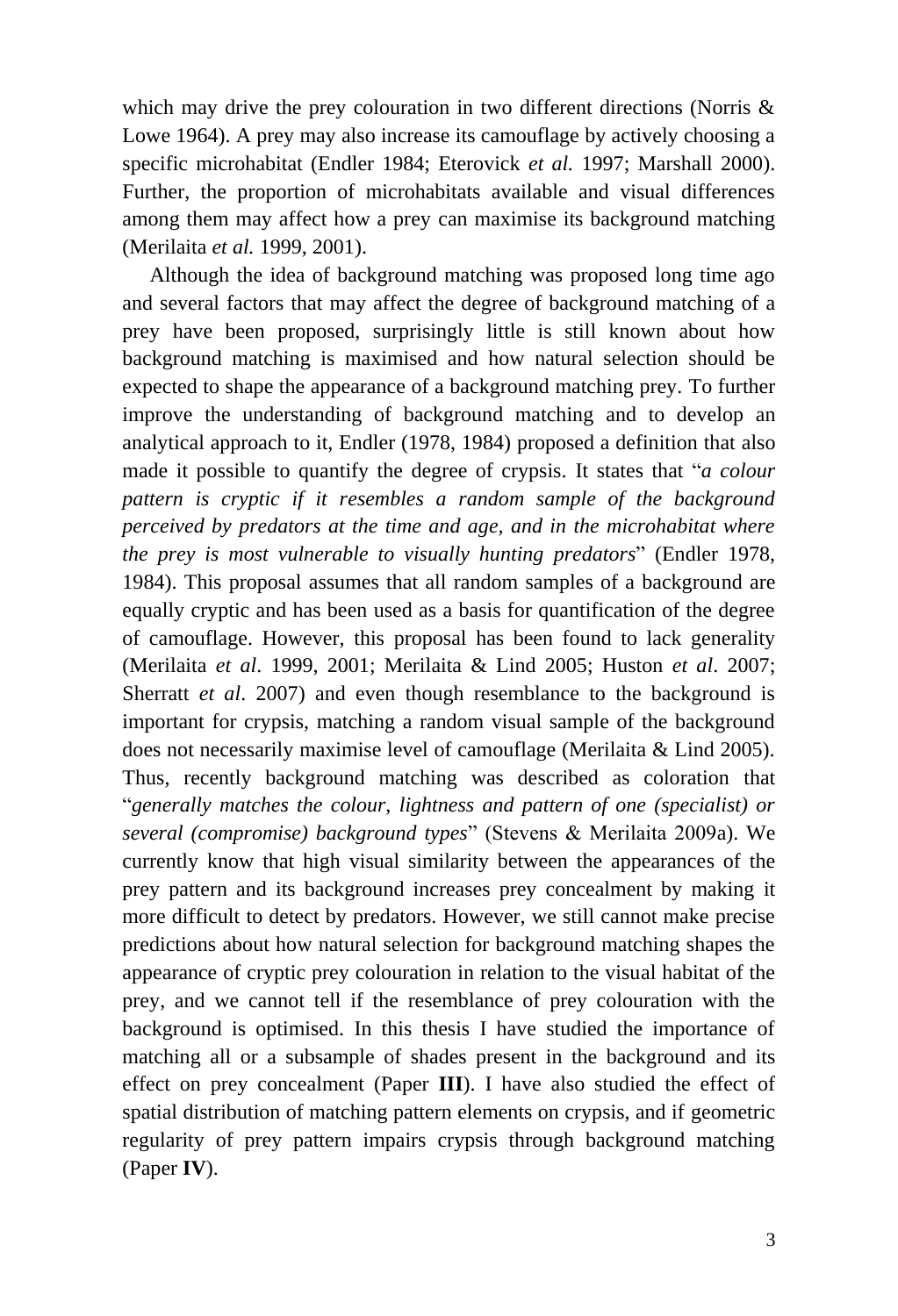which may drive the prey colouration in two different directions (Norris & Lowe 1964). A prey may also increase its camouflage by actively choosing a specific microhabitat (Endler 1984; Eterovick *et al.* 1997; Marshall 2000). Further, the proportion of microhabitats available and visual differences among them may affect how a prey can maximise its background matching (Merilaita *et al.* 1999, 2001).

Although the idea of background matching was proposed long time ago and several factors that may affect the degree of background matching of a prey have been proposed, surprisingly little is still known about how background matching is maximised and how natural selection should be expected to shape the appearance of a background matching prey. To further improve the understanding of background matching and to develop an analytical approach to it, Endler (1978, 1984) proposed a definition that also made it possible to quantify the degree of crypsis. It states that "*a colour pattern is cryptic if it resembles a random sample of the background perceived by predators at the time and age, and in the microhabitat where the prey is most vulnerable to visually hunting predators*" (Endler 1978, 1984). This proposal assumes that all random samples of a background are equally cryptic and has been used as a basis for quantification of the degree of camouflage. However, this proposal has been found to lack generality (Merilaita *et al*. 1999, 2001; Merilaita & Lind 2005; Huston *et al*. 2007; Sherratt *et al*. 2007) and even though resemblance to the background is important for crypsis, matching a random visual sample of the background does not necessarily maximise level of camouflage (Merilaita & Lind 2005). Thus, recently background matching was described as coloration that "*generally matches the colour, lightness and pattern of one (specialist) or several (compromise) background types*" (Stevens & Merilaita 2009a). We currently know that high visual similarity between the appearances of the prey pattern and its background increases prey concealment by making it more difficult to detect by predators. However, we still cannot make precise predictions about how natural selection for background matching shapes the appearance of cryptic prey colouration in relation to the visual habitat of the prey, and we cannot tell if the resemblance of prey colouration with the background is optimised. In this thesis I have studied the importance of matching all or a subsample of shades present in the background and its effect on prey concealment (Paper **III**). I have also studied the effect of spatial distribution of matching pattern elements on crypsis, and if geometric regularity of prey pattern impairs crypsis through background matching (Paper **IV**).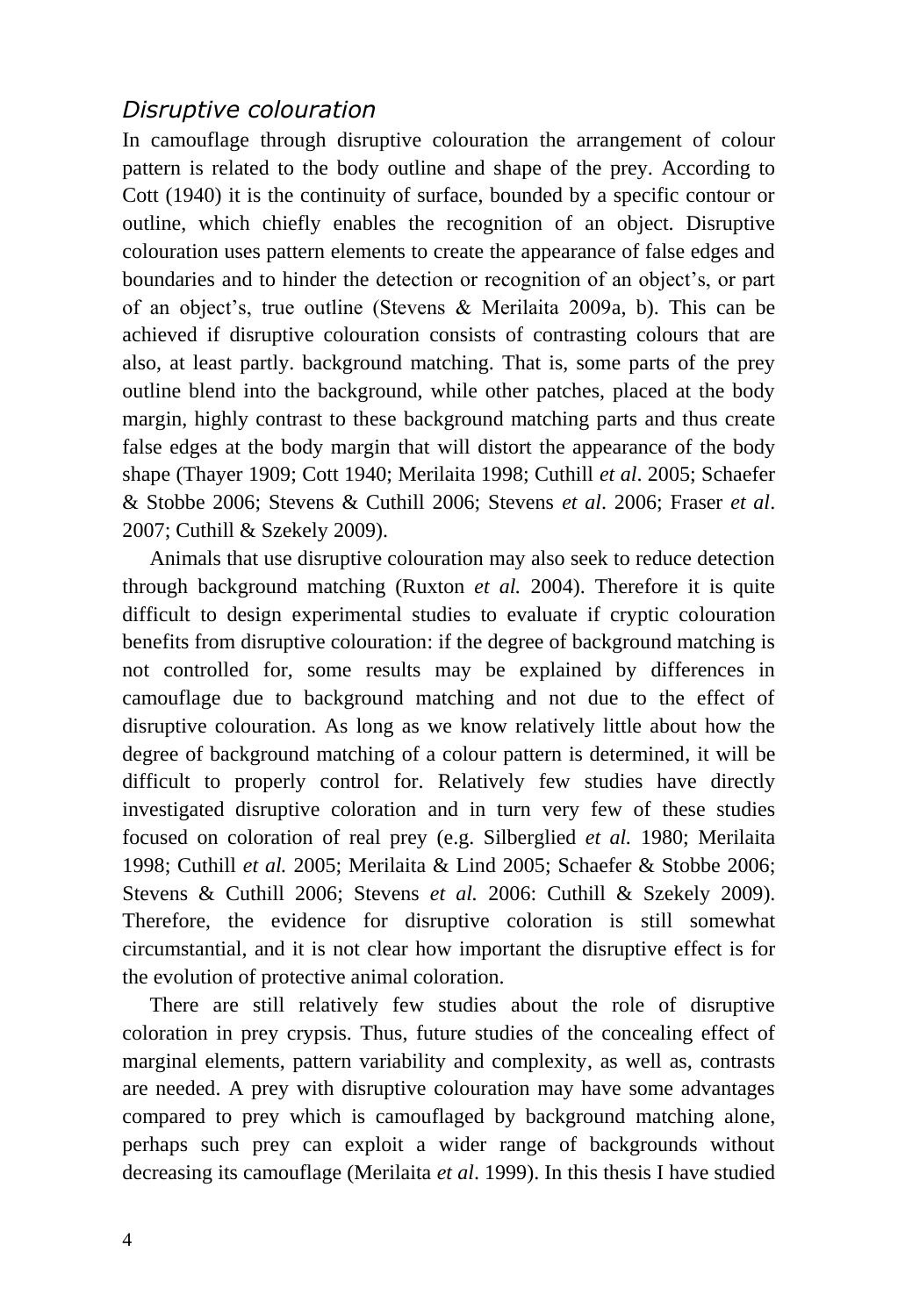#### *Disruptive colouration*

In camouflage through disruptive colouration the arrangement of colour pattern is related to the body outline and shape of the prey. According to Cott (1940) it is the continuity of surface, bounded by a specific contour or outline, which chiefly enables the recognition of an object. Disruptive colouration uses pattern elements to create the appearance of false edges and boundaries and to hinder the detection or recognition of an object"s, or part of an object"s, true outline (Stevens & Merilaita 2009a, b). This can be achieved if disruptive colouration consists of contrasting colours that are also, at least partly. background matching. That is, some parts of the prey outline blend into the background, while other patches, placed at the body margin, highly contrast to these background matching parts and thus create false edges at the body margin that will distort the appearance of the body shape (Thayer 1909; Cott 1940; Merilaita 1998; Cuthill *et al*. 2005; Schaefer & Stobbe 2006; Stevens & Cuthill 2006; Stevens *et al*. 2006; Fraser *et al*. 2007; Cuthill & Szekely 2009).

Animals that use disruptive colouration may also seek to reduce detection through background matching (Ruxton *et al.* 2004). Therefore it is quite difficult to design experimental studies to evaluate if cryptic colouration benefits from disruptive colouration: if the degree of background matching is not controlled for, some results may be explained by differences in camouflage due to background matching and not due to the effect of disruptive colouration. As long as we know relatively little about how the degree of background matching of a colour pattern is determined, it will be difficult to properly control for. Relatively few studies have directly investigated disruptive coloration and in turn very few of these studies focused on coloration of real prey (e.g. Silberglied *et al.* 1980; Merilaita 1998; Cuthill *et al.* 2005; Merilaita & Lind 2005; Schaefer & Stobbe 2006; Stevens & Cuthill 2006; Stevens *et al.* 2006: Cuthill & Szekely 2009). Therefore, the evidence for disruptive coloration is still somewhat circumstantial, and it is not clear how important the disruptive effect is for the evolution of protective animal coloration.

There are still relatively few studies about the role of disruptive coloration in prey crypsis. Thus, future studies of the concealing effect of marginal elements, pattern variability and complexity, as well as, contrasts are needed. A prey with disruptive colouration may have some advantages compared to prey which is camouflaged by background matching alone, perhaps such prey can exploit a wider range of backgrounds without decreasing its camouflage (Merilaita *et al*. 1999). In this thesis I have studied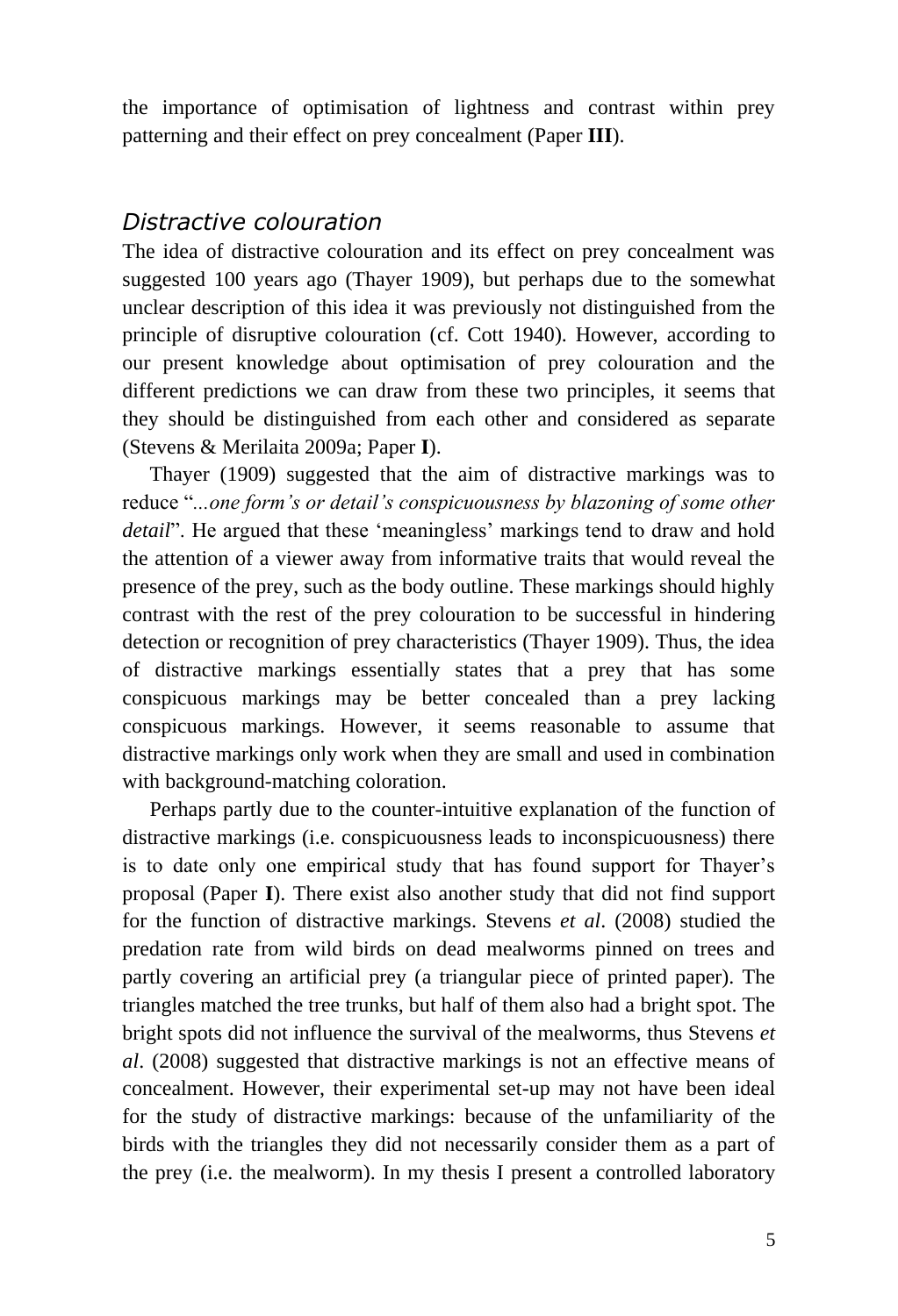the importance of optimisation of lightness and contrast within prey patterning and their effect on prey concealment (Paper **III**).

#### *Distractive colouration*

The idea of distractive colouration and its effect on prey concealment was suggested 100 years ago (Thayer 1909), but perhaps due to the somewhat unclear description of this idea it was previously not distinguished from the principle of disruptive colouration (cf. Cott 1940). However, according to our present knowledge about optimisation of prey colouration and the different predictions we can draw from these two principles, it seems that they should be distinguished from each other and considered as separate (Stevens & Merilaita 2009a; Paper **I**).

Thayer (1909) suggested that the aim of distractive markings was to reduce "*...one form's or detail's conspicuousness by blazoning of some other detail*". He argued that these 'meaningless' markings tend to draw and hold the attention of a viewer away from informative traits that would reveal the presence of the prey, such as the body outline. These markings should highly contrast with the rest of the prey colouration to be successful in hindering detection or recognition of prey characteristics (Thayer 1909). Thus, the idea of distractive markings essentially states that a prey that has some conspicuous markings may be better concealed than a prey lacking conspicuous markings. However, it seems reasonable to assume that distractive markings only work when they are small and used in combination with background-matching coloration.

Perhaps partly due to the counter-intuitive explanation of the function of distractive markings (i.e. conspicuousness leads to inconspicuousness) there is to date only one empirical study that has found support for Thayer's proposal (Paper **I**). There exist also another study that did not find support for the function of distractive markings. Stevens *et al*. (2008) studied the predation rate from wild birds on dead mealworms pinned on trees and partly covering an artificial prey (a triangular piece of printed paper). The triangles matched the tree trunks, but half of them also had a bright spot. The bright spots did not influence the survival of the mealworms, thus Stevens *et al*. (2008) suggested that distractive markings is not an effective means of concealment. However, their experimental set-up may not have been ideal for the study of distractive markings: because of the unfamiliarity of the birds with the triangles they did not necessarily consider them as a part of the prey (i.e. the mealworm). In my thesis I present a controlled laboratory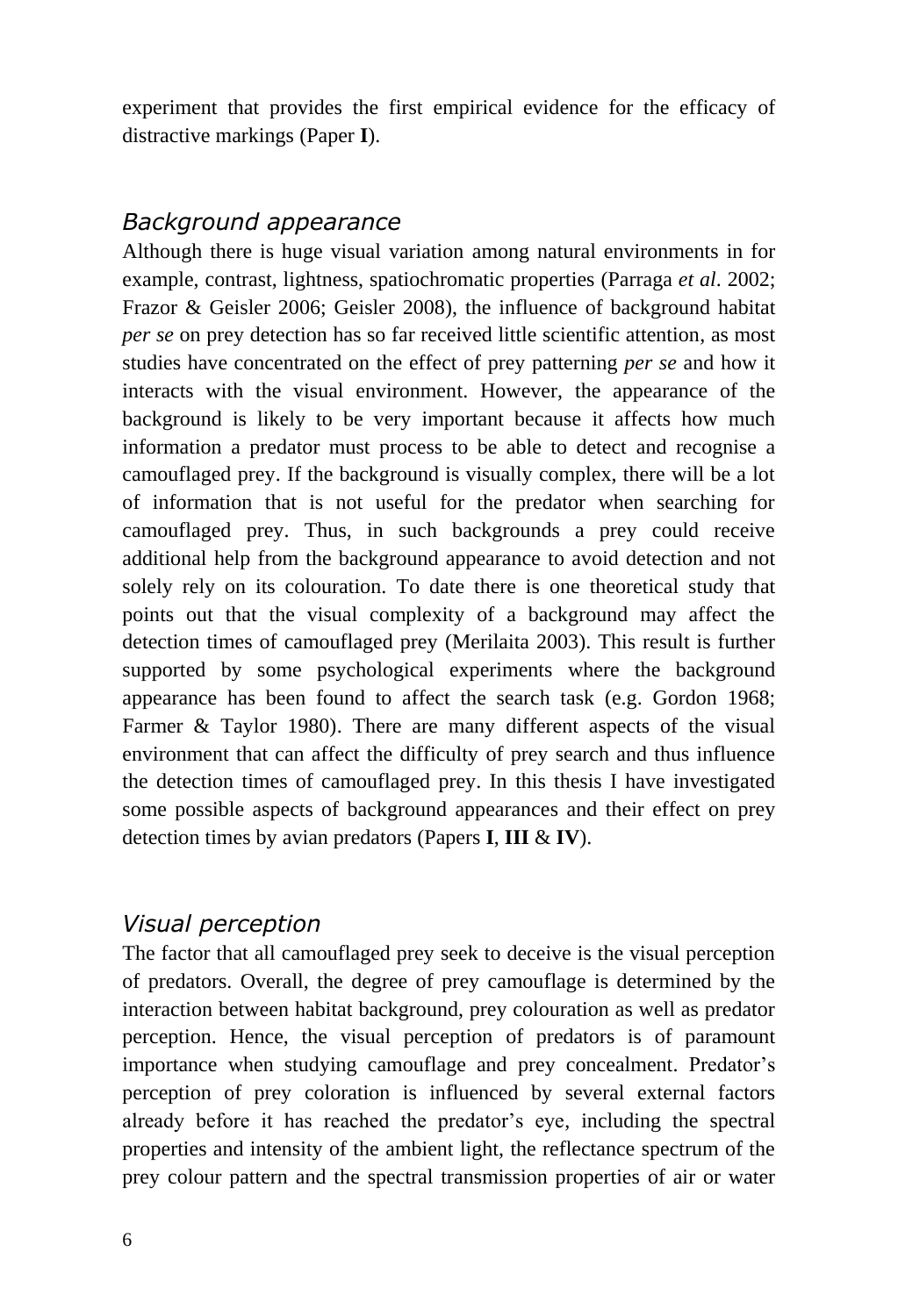experiment that provides the first empirical evidence for the efficacy of distractive markings (Paper **I**).

#### *Background appearance*

Although there is huge visual variation among natural environments in for example, contrast, lightness, spatiochromatic properties (Parraga *et al*. 2002; Frazor & Geisler 2006; Geisler 2008), the influence of background habitat *per se* on prey detection has so far received little scientific attention, as most studies have concentrated on the effect of prey patterning *per se* and how it interacts with the visual environment. However, the appearance of the background is likely to be very important because it affects how much information a predator must process to be able to detect and recognise a camouflaged prey. If the background is visually complex, there will be a lot of information that is not useful for the predator when searching for camouflaged prey. Thus, in such backgrounds a prey could receive additional help from the background appearance to avoid detection and not solely rely on its colouration. To date there is one theoretical study that points out that the visual complexity of a background may affect the detection times of camouflaged prey (Merilaita 2003). This result is further supported by some psychological experiments where the background appearance has been found to affect the search task (e.g. Gordon 1968; Farmer & Taylor 1980). There are many different aspects of the visual environment that can affect the difficulty of prey search and thus influence the detection times of camouflaged prey. In this thesis I have investigated some possible aspects of background appearances and their effect on prey detection times by avian predators (Papers **I**, **III** & **IV**).

### *Visual perception*

The factor that all camouflaged prey seek to deceive is the visual perception of predators. Overall, the degree of prey camouflage is determined by the interaction between habitat background, prey colouration as well as predator perception. Hence, the visual perception of predators is of paramount importance when studying camouflage and prey concealment. Predator's perception of prey coloration is influenced by several external factors already before it has reached the predator's eye, including the spectral properties and intensity of the ambient light, the reflectance spectrum of the prey colour pattern and the spectral transmission properties of air or water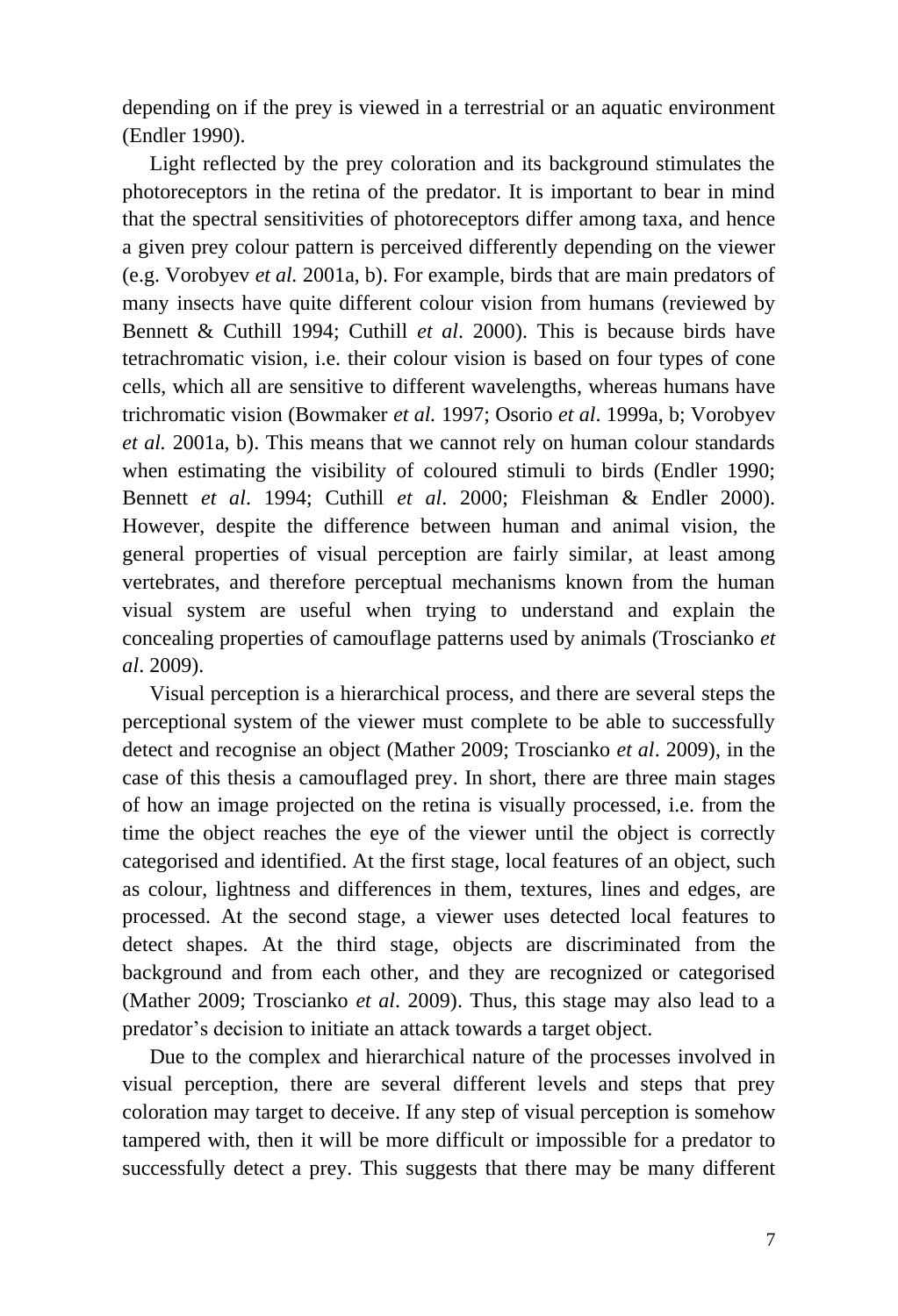depending on if the prey is viewed in a terrestrial or an aquatic environment (Endler 1990).

Light reflected by the prey coloration and its background stimulates the photoreceptors in the retina of the predator. It is important to bear in mind that the spectral sensitivities of photoreceptors differ among taxa, and hence a given prey colour pattern is perceived differently depending on the viewer (e.g. Vorobyev *et al.* 2001a, b). For example, birds that are main predators of many insects have quite different colour vision from humans (reviewed by Bennett & Cuthill 1994; Cuthill *et al*. 2000). This is because birds have tetrachromatic vision, i.e. their colour vision is based on four types of cone cells, which all are sensitive to different wavelengths, whereas humans have trichromatic vision (Bowmaker *et al.* 1997; Osorio *et al*. 1999a, b; Vorobyev *et al.* 2001a, b). This means that we cannot rely on human colour standards when estimating the visibility of coloured stimuli to birds (Endler 1990; Bennett *et al*. 1994; Cuthill *et al*. 2000; Fleishman & Endler 2000). However, despite the difference between human and animal vision, the general properties of visual perception are fairly similar, at least among vertebrates, and therefore perceptual mechanisms known from the human visual system are useful when trying to understand and explain the concealing properties of camouflage patterns used by animals (Troscianko *et al*. 2009).

Visual perception is a hierarchical process, and there are several steps the perceptional system of the viewer must complete to be able to successfully detect and recognise an object (Mather 2009; Troscianko *et al*. 2009), in the case of this thesis a camouflaged prey. In short, there are three main stages of how an image projected on the retina is visually processed, i.e. from the time the object reaches the eye of the viewer until the object is correctly categorised and identified. At the first stage, local features of an object, such as colour, lightness and differences in them, textures, lines and edges, are processed. At the second stage, a viewer uses detected local features to detect shapes. At the third stage, objects are discriminated from the background and from each other, and they are recognized or categorised (Mather 2009; Troscianko *et al*. 2009). Thus, this stage may also lead to a predator"s decision to initiate an attack towards a target object.

Due to the complex and hierarchical nature of the processes involved in visual perception, there are several different levels and steps that prey coloration may target to deceive. If any step of visual perception is somehow tampered with, then it will be more difficult or impossible for a predator to successfully detect a prey. This suggests that there may be many different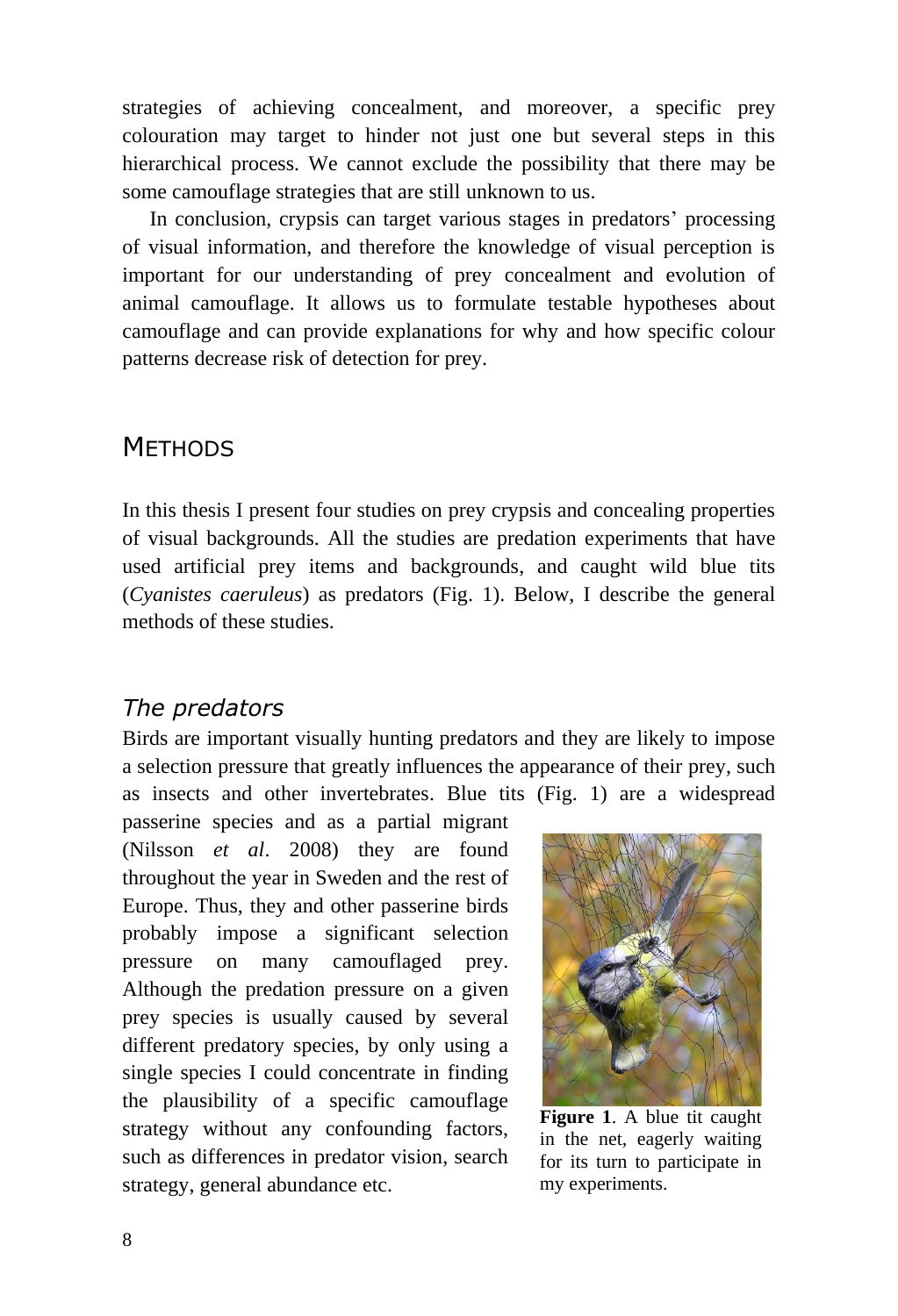strategies of achieving concealment, and moreover, a specific prey colouration may target to hinder not just one but several steps in this hierarchical process. We cannot exclude the possibility that there may be some camouflage strategies that are still unknown to us.

In conclusion, crypsis can target various stages in predators' processing of visual information, and therefore the knowledge of visual perception is important for our understanding of prey concealment and evolution of animal camouflage. It allows us to formulate testable hypotheses about camouflage and can provide explanations for why and how specific colour patterns decrease risk of detection for prey.

#### **METHODS**

In this thesis I present four studies on prey crypsis and concealing properties of visual backgrounds. All the studies are predation experiments that have used artificial prey items and backgrounds, and caught wild blue tits (*Cyanistes caeruleus*) as predators (Fig. 1). Below, I describe the general methods of these studies.

#### *The predators*

Birds are important visually hunting predators and they are likely to impose a selection pressure that greatly influences the appearance of their prey, such as insects and other invertebrates. Blue tits (Fig. 1) are a widespread

passerine species and as a partial migrant (Nilsson *et al*. 2008) they are found throughout the year in Sweden and the rest of Europe. Thus, they and other passerine birds probably impose a significant selection pressure on many camouflaged prey. Although the predation pressure on a given prey species is usually caused by several different predatory species, by only using a single species I could concentrate in finding the plausibility of a specific camouflage strategy without any confounding factors, such as differences in predator vision, search strategy, general abundance etc.



**Figure 1**. A blue tit caught in the net, eagerly waiting for its turn to participate in my experiments.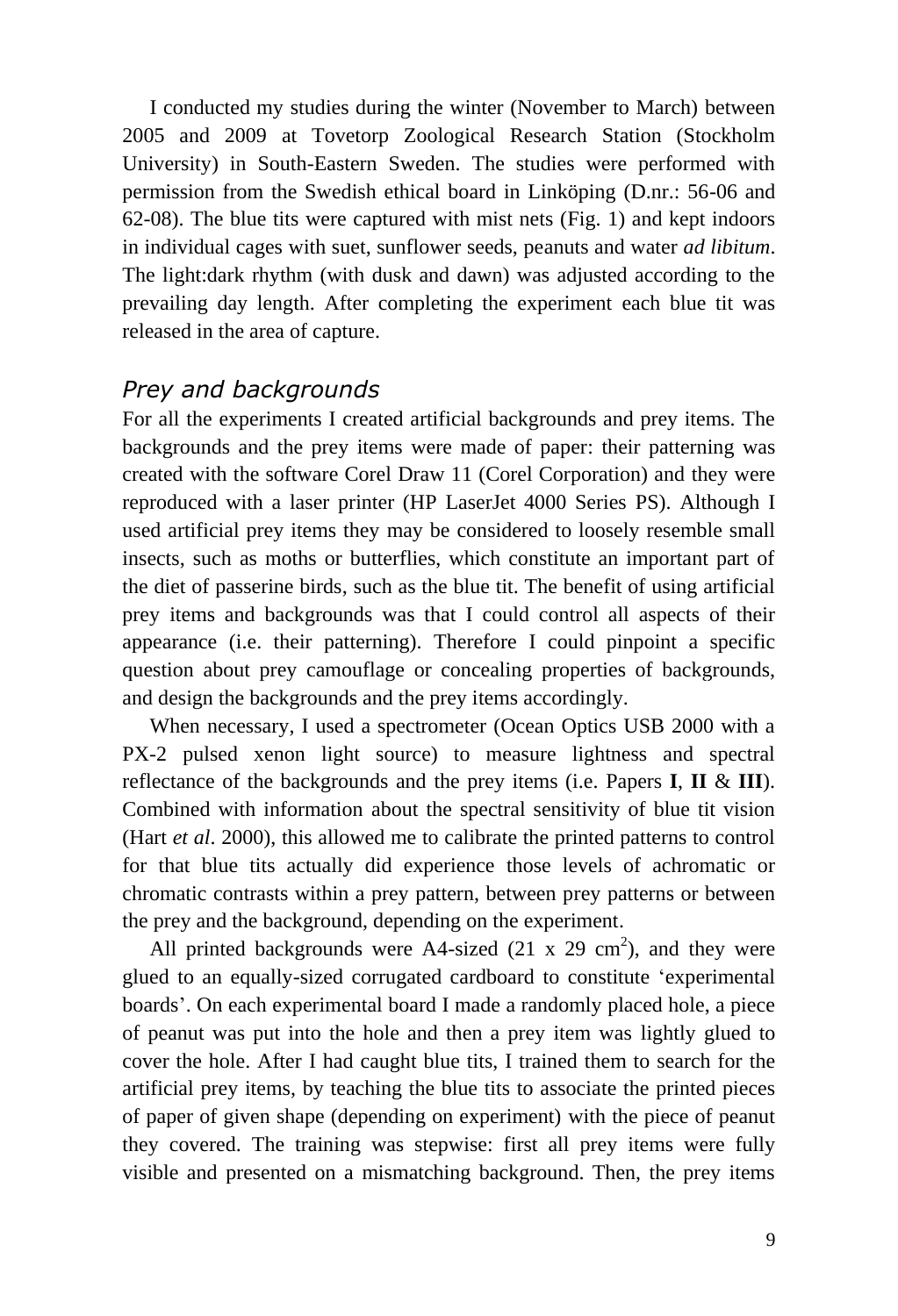I conducted my studies during the winter (November to March) between 2005 and 2009 at Tovetorp Zoological Research Station (Stockholm University) in South-Eastern Sweden. The studies were performed with permission from the Swedish ethical board in Linköping (D.nr.: 56-06 and 62-08). The blue tits were captured with mist nets (Fig. 1) and kept indoors in individual cages with suet, sunflower seeds, peanuts and water *ad libitum*. The light:dark rhythm (with dusk and dawn) was adjusted according to the prevailing day length. After completing the experiment each blue tit was released in the area of capture.

#### *Prey and backgrounds*

For all the experiments I created artificial backgrounds and prey items. The backgrounds and the prey items were made of paper: their patterning was created with the software Corel Draw 11 (Corel Corporation) and they were reproduced with a laser printer (HP LaserJet 4000 Series PS). Although I used artificial prey items they may be considered to loosely resemble small insects, such as moths or butterflies, which constitute an important part of the diet of passerine birds, such as the blue tit. The benefit of using artificial prey items and backgrounds was that I could control all aspects of their appearance (i.e. their patterning). Therefore I could pinpoint a specific question about prey camouflage or concealing properties of backgrounds, and design the backgrounds and the prey items accordingly.

When necessary, I used a spectrometer (Ocean Optics USB 2000 with a PX-2 pulsed xenon light source) to measure lightness and spectral reflectance of the backgrounds and the prey items (i.e. Papers **I**, **II** & **III**). Combined with information about the spectral sensitivity of blue tit vision (Hart *et al*. 2000), this allowed me to calibrate the printed patterns to control for that blue tits actually did experience those levels of achromatic or chromatic contrasts within a prey pattern, between prey patterns or between the prey and the background, depending on the experiment.

All printed backgrounds were A4-sized  $(21 \times 29 \text{ cm}^2)$ , and they were glued to an equally-sized corrugated cardboard to constitute "experimental boards". On each experimental board I made a randomly placed hole, a piece of peanut was put into the hole and then a prey item was lightly glued to cover the hole. After I had caught blue tits, I trained them to search for the artificial prey items, by teaching the blue tits to associate the printed pieces of paper of given shape (depending on experiment) with the piece of peanut they covered. The training was stepwise: first all prey items were fully visible and presented on a mismatching background. Then, the prey items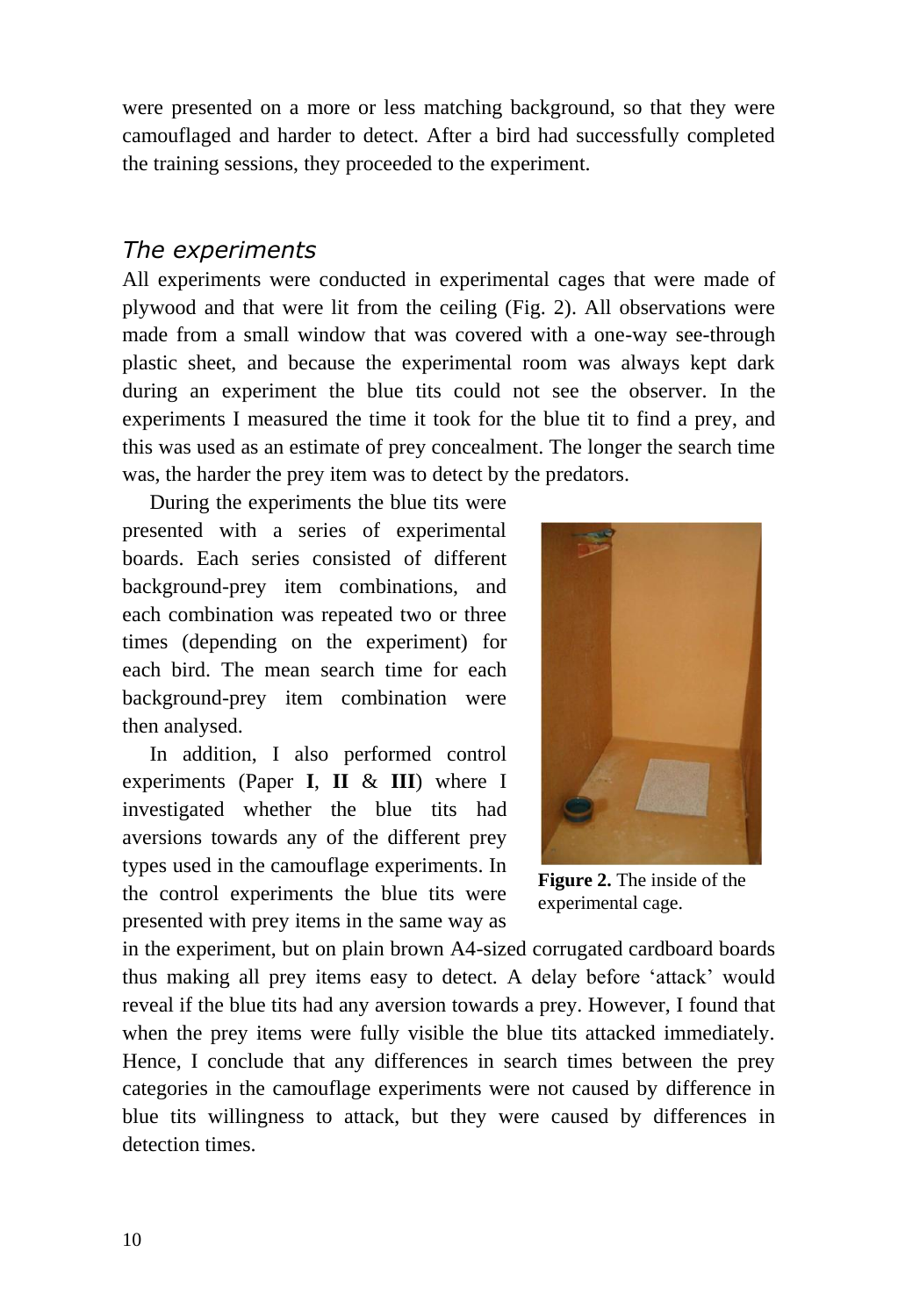were presented on a more or less matching background, so that they were camouflaged and harder to detect. After a bird had successfully completed the training sessions, they proceeded to the experiment.

#### *The experiments*

All experiments were conducted in experimental cages that were made of plywood and that were lit from the ceiling (Fig. 2). All observations were made from a small window that was covered with a one-way see-through plastic sheet, and because the experimental room was always kept dark during an experiment the blue tits could not see the observer. In the experiments I measured the time it took for the blue tit to find a prey, and this was used as an estimate of prey concealment. The longer the search time was, the harder the prey item was to detect by the predators.

During the experiments the blue tits were presented with a series of experimental boards. Each series consisted of different background-prey item combinations, and each combination was repeated two or three times (depending on the experiment) for each bird. The mean search time for each background-prey item combination were then analysed.

In addition, I also performed control experiments (Paper **I**, **II** & **III**) where I investigated whether the blue tits had aversions towards any of the different prey types used in the camouflage experiments. In the control experiments the blue tits were presented with prey items in the same way as



**Figure 2.** The inside of the experimental cage.

in the experiment, but on plain brown A4-sized corrugated cardboard boards thus making all prey items easy to detect. A delay before "attack" would reveal if the blue tits had any aversion towards a prey. However, I found that when the prey items were fully visible the blue tits attacked immediately. Hence, I conclude that any differences in search times between the prey categories in the camouflage experiments were not caused by difference in blue tits willingness to attack, but they were caused by differences in detection times.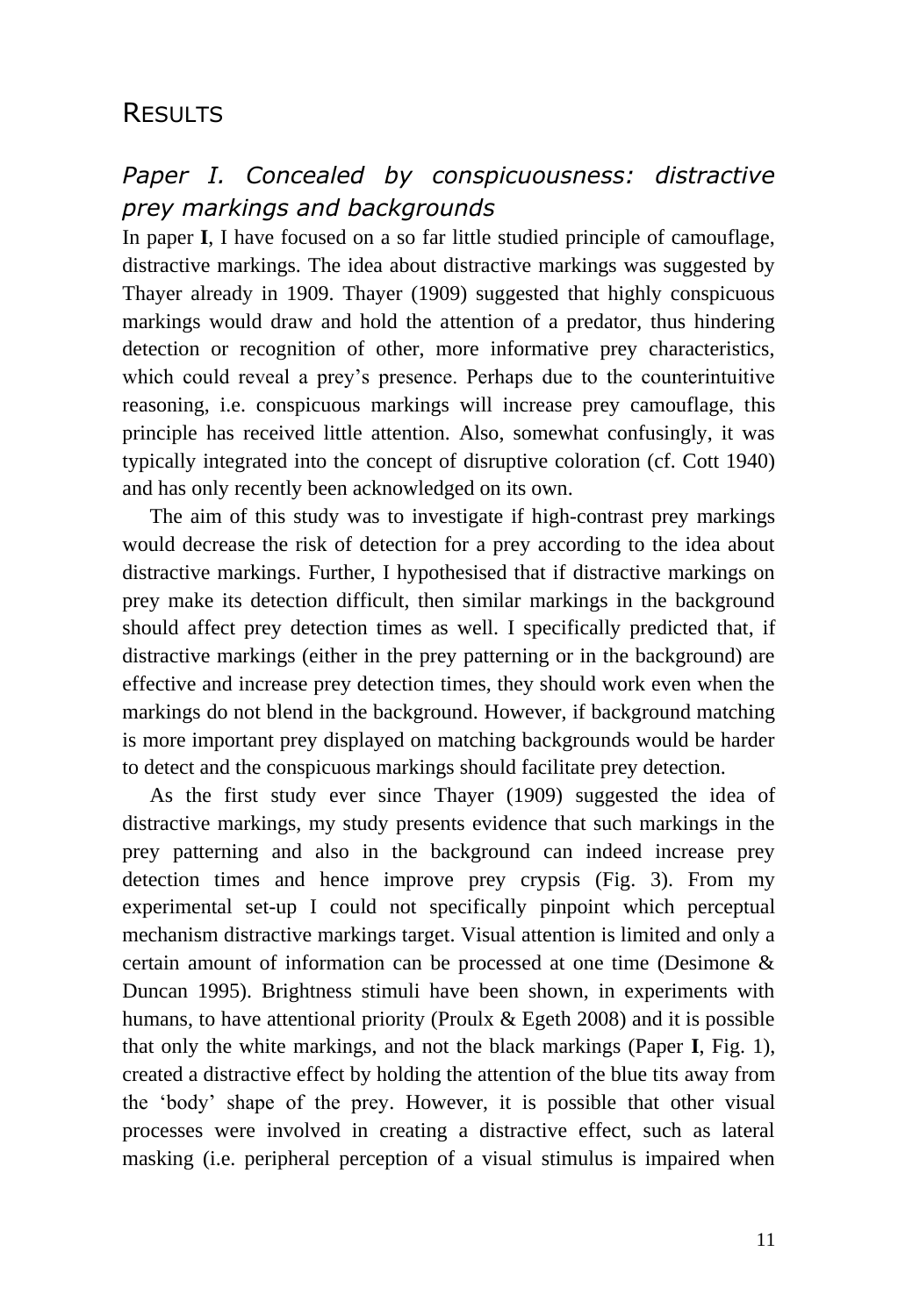### **RESULTS**

### *Paper I. Concealed by conspicuousness: distractive prey markings and backgrounds*

In paper **I**, I have focused on a so far little studied principle of camouflage, distractive markings. The idea about distractive markings was suggested by Thayer already in 1909. Thayer (1909) suggested that highly conspicuous markings would draw and hold the attention of a predator, thus hindering detection or recognition of other, more informative prey characteristics, which could reveal a prey"s presence. Perhaps due to the counterintuitive reasoning, i.e. conspicuous markings will increase prey camouflage, this principle has received little attention. Also, somewhat confusingly, it was typically integrated into the concept of disruptive coloration (cf. Cott 1940) and has only recently been acknowledged on its own.

The aim of this study was to investigate if high-contrast prey markings would decrease the risk of detection for a prey according to the idea about distractive markings. Further, I hypothesised that if distractive markings on prey make its detection difficult, then similar markings in the background should affect prey detection times as well. I specifically predicted that, if distractive markings (either in the prey patterning or in the background) are effective and increase prey detection times, they should work even when the markings do not blend in the background. However, if background matching is more important prey displayed on matching backgrounds would be harder to detect and the conspicuous markings should facilitate prey detection.

As the first study ever since Thayer (1909) suggested the idea of distractive markings, my study presents evidence that such markings in the prey patterning and also in the background can indeed increase prey detection times and hence improve prey crypsis (Fig. 3). From my experimental set-up I could not specifically pinpoint which perceptual mechanism distractive markings target. Visual attention is limited and only a certain amount of information can be processed at one time (Desimone & Duncan 1995). Brightness stimuli have been shown, in experiments with humans, to have attentional priority (Proulx & Egeth 2008) and it is possible that only the white markings, and not the black markings (Paper **I**, Fig. 1), created a distractive effect by holding the attention of the blue tits away from the "body" shape of the prey. However, it is possible that other visual processes were involved in creating a distractive effect, such as lateral masking (i.e. peripheral perception of a visual stimulus is impaired when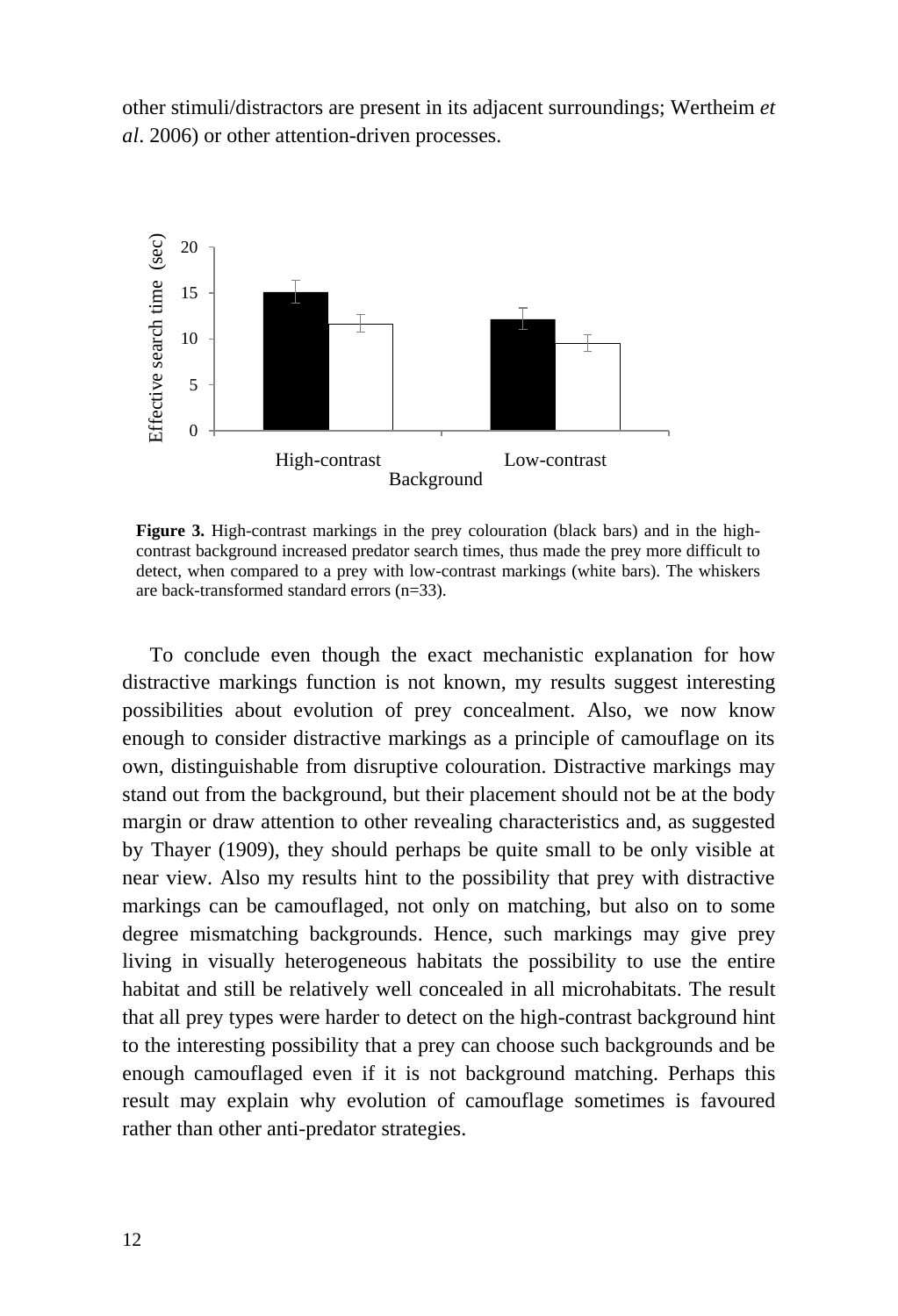other stimuli/distractors are present in its adjacent surroundings; Wertheim *et al*. 2006) or other attention-driven processes.



**Figure 3.** High-contrast markings in the prey colouration (black bars) and in the highcontrast background increased predator search times, thus made the prey more difficult to detect, when compared to a prey with low-contrast markings (white bars). The whiskers are back-transformed standard errors (n=33).

To conclude even though the exact mechanistic explanation for how distractive markings function is not known, my results suggest interesting possibilities about evolution of prey concealment. Also, we now know enough to consider distractive markings as a principle of camouflage on its own, distinguishable from disruptive colouration. Distractive markings may stand out from the background, but their placement should not be at the body margin or draw attention to other revealing characteristics and, as suggested by Thayer (1909), they should perhaps be quite small to be only visible at near view. Also my results hint to the possibility that prey with distractive markings can be camouflaged, not only on matching, but also on to some degree mismatching backgrounds. Hence, such markings may give prey living in visually heterogeneous habitats the possibility to use the entire habitat and still be relatively well concealed in all microhabitats. The result that all prey types were harder to detect on the high-contrast background hint to the interesting possibility that a prey can choose such backgrounds and be enough camouflaged even if it is not background matching. Perhaps this result may explain why evolution of camouflage sometimes is favoured rather than other anti-predator strategies.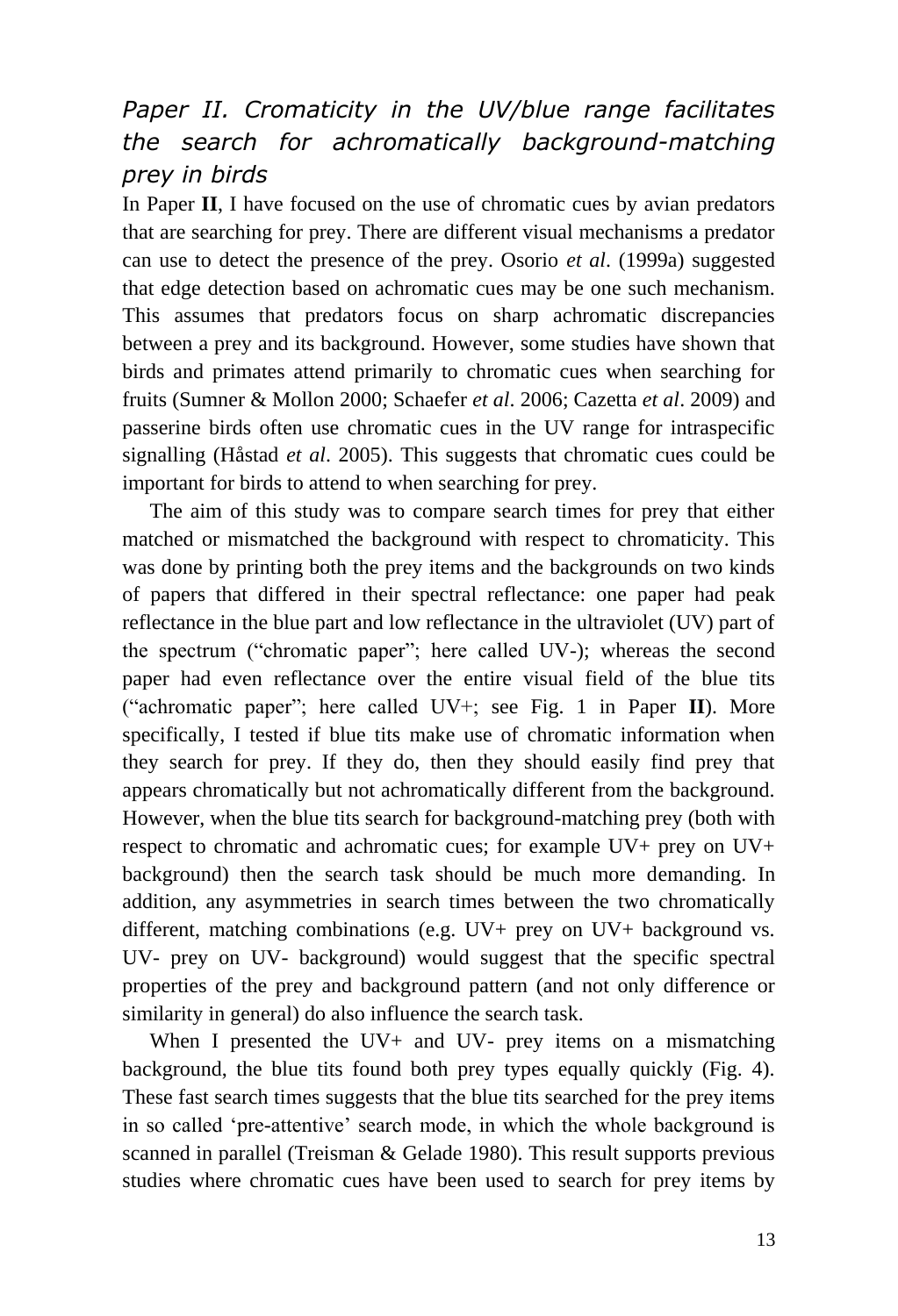## *Paper II. Cromaticity in the UV/blue range facilitates the search for achromatically background-matching prey in birds*

In Paper **II**, I have focused on the use of chromatic cues by avian predators that are searching for prey. There are different visual mechanisms a predator can use to detect the presence of the prey. Osorio *et al*. (1999a) suggested that edge detection based on achromatic cues may be one such mechanism. This assumes that predators focus on sharp achromatic discrepancies between a prey and its background. However, some studies have shown that birds and primates attend primarily to chromatic cues when searching for fruits (Sumner & Mollon 2000; Schaefer *et al*. 2006; Cazetta *et al*. 2009) and passerine birds often use chromatic cues in the UV range for intraspecific signalling (Håstad *et al*. 2005). This suggests that chromatic cues could be important for birds to attend to when searching for prey.

The aim of this study was to compare search times for prey that either matched or mismatched the background with respect to chromaticity. This was done by printing both the prey items and the backgrounds on two kinds of papers that differed in their spectral reflectance: one paper had peak reflectance in the blue part and low reflectance in the ultraviolet (UV) part of the spectrum ("chromatic paper"; here called UV-); whereas the second paper had even reflectance over the entire visual field of the blue tits ("achromatic paper"; here called UV+; see Fig. 1 in Paper **II**). More specifically, I tested if blue tits make use of chromatic information when they search for prey. If they do, then they should easily find prey that appears chromatically but not achromatically different from the background. However, when the blue tits search for background-matching prey (both with respect to chromatic and achromatic cues; for example UV+ prey on UV+ background) then the search task should be much more demanding. In addition, any asymmetries in search times between the two chromatically different, matching combinations (e.g. UV+ prey on UV+ background vs. UV- prey on UV- background) would suggest that the specific spectral properties of the prey and background pattern (and not only difference or similarity in general) do also influence the search task.

When I presented the UV+ and UV- prey items on a mismatching background, the blue tits found both prey types equally quickly (Fig. 4). These fast search times suggests that the blue tits searched for the prey items in so called "pre-attentive" search mode, in which the whole background is scanned in parallel (Treisman & Gelade 1980). This result supports previous studies where chromatic cues have been used to search for prey items by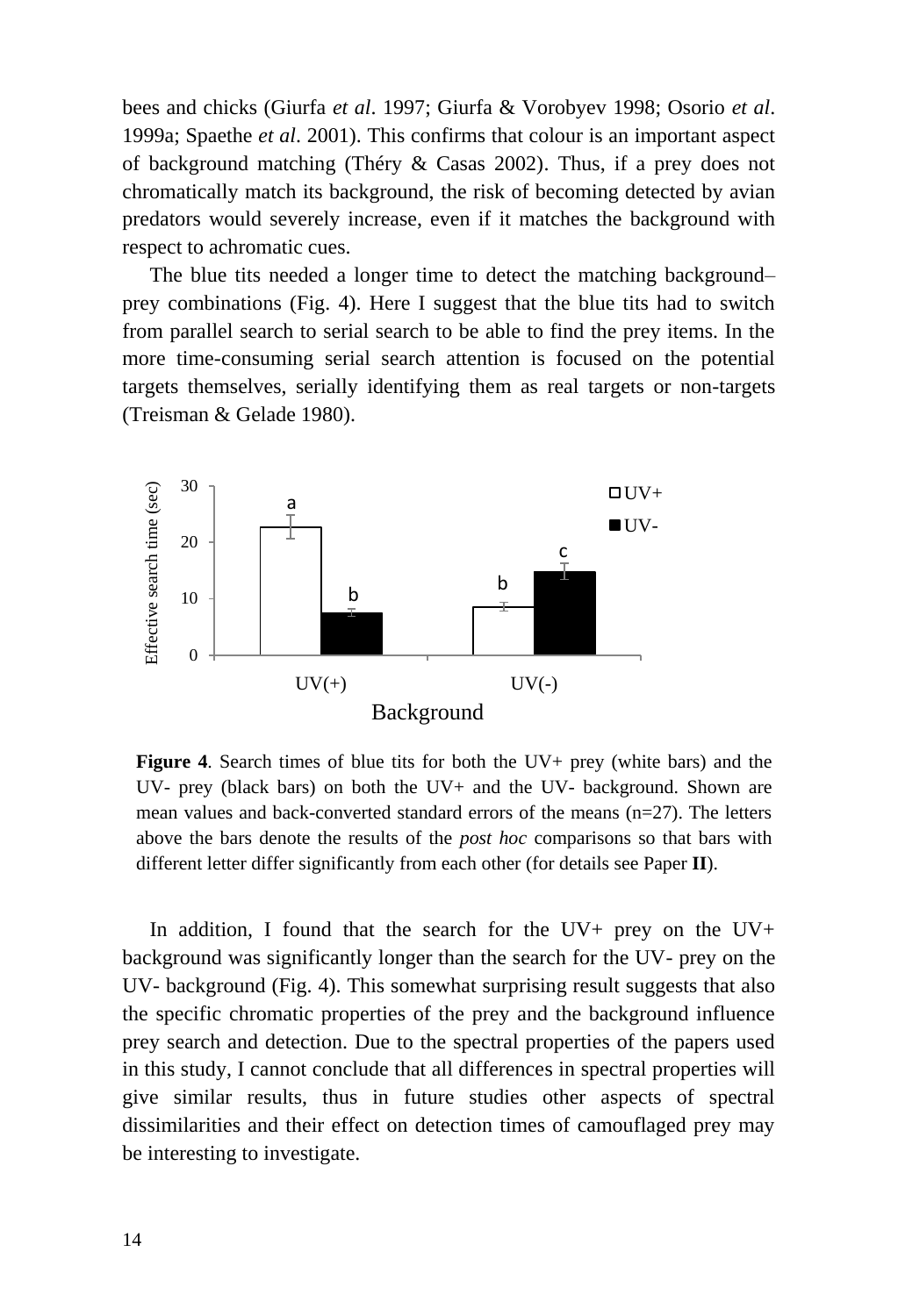bees and chicks (Giurfa *et al*. 1997; Giurfa & Vorobyev 1998; Osorio *et al*. 1999a; Spaethe *et al*. 2001). This confirms that colour is an important aspect of background matching (Théry & Casas 2002). Thus, if a prey does not chromatically match its background, the risk of becoming detected by avian predators would severely increase, even if it matches the background with respect to achromatic cues.

The blue tits needed a longer time to detect the matching background– prey combinations (Fig. 4). Here I suggest that the blue tits had to switch from parallel search to serial search to be able to find the prey items. In the more time-consuming serial search attention is focused on the potential targets themselves, serially identifying them as real targets or non-targets (Treisman & Gelade 1980).



**Figure 4**. Search times of blue tits for both the UV+ prey (white bars) and the UV- prey (black bars) on both the UV+ and the UV- background. Shown are mean values and back-converted standard errors of the means (n=27). The letters above the bars denote the results of the *post hoc* comparisons so that bars with different letter differ significantly from each other (for details see Paper **II**).

In addition, I found that the search for the  $UV$ + prey on the  $UV$ + background was significantly longer than the search for the UV- prey on the UV- background (Fig. 4). This somewhat surprising result suggests that also the specific chromatic properties of the prey and the background influence prey search and detection. Due to the spectral properties of the papers used in this study, I cannot conclude that all differences in spectral properties will give similar results, thus in future studies other aspects of spectral dissimilarities and their effect on detection times of camouflaged prey may be interesting to investigate.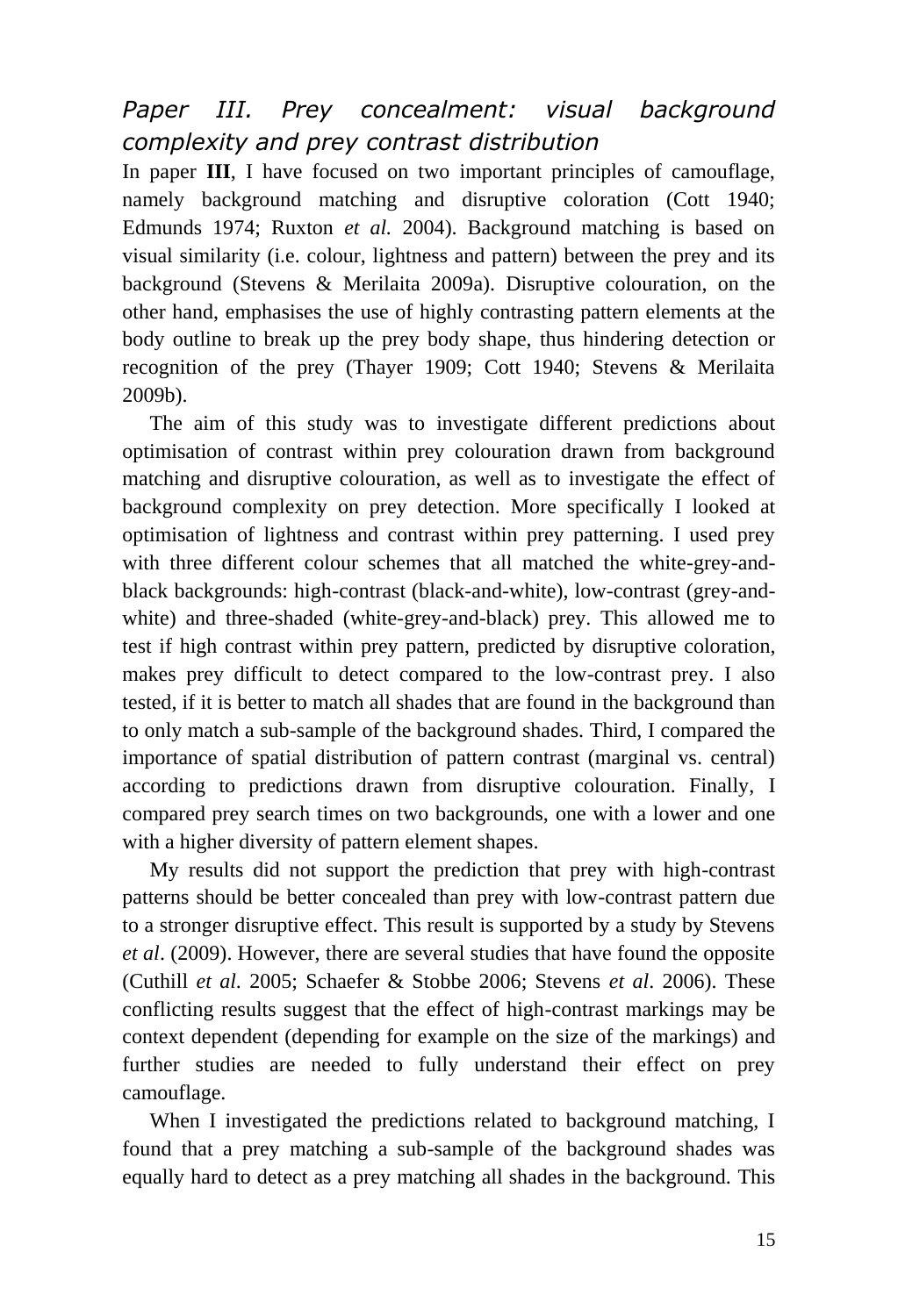### *Paper III. Prey concealment: visual background complexity and prey contrast distribution*

In paper **III**, I have focused on two important principles of camouflage, namely background matching and disruptive coloration (Cott 1940; Edmunds 1974; Ruxton *et al.* 2004). Background matching is based on visual similarity (i.e. colour, lightness and pattern) between the prey and its background (Stevens & Merilaita 2009a). Disruptive colouration, on the other hand, emphasises the use of highly contrasting pattern elements at the body outline to break up the prey body shape, thus hindering detection or recognition of the prey (Thayer 1909; Cott 1940; Stevens & Merilaita 2009b).

The aim of this study was to investigate different predictions about optimisation of contrast within prey colouration drawn from background matching and disruptive colouration, as well as to investigate the effect of background complexity on prey detection. More specifically I looked at optimisation of lightness and contrast within prey patterning. I used prey with three different colour schemes that all matched the white-grey-andblack backgrounds: high-contrast (black-and-white), low-contrast (grey-andwhite) and three-shaded (white-grey-and-black) prey. This allowed me to test if high contrast within prey pattern, predicted by disruptive coloration, makes prey difficult to detect compared to the low-contrast prey. I also tested, if it is better to match all shades that are found in the background than to only match a sub-sample of the background shades. Third, I compared the importance of spatial distribution of pattern contrast (marginal vs. central) according to predictions drawn from disruptive colouration. Finally, I compared prey search times on two backgrounds, one with a lower and one with a higher diversity of pattern element shapes.

My results did not support the prediction that prey with high-contrast patterns should be better concealed than prey with low-contrast pattern due to a stronger disruptive effect. This result is supported by a study by Stevens *et al*. (2009). However, there are several studies that have found the opposite (Cuthill *et al*. 2005; Schaefer & Stobbe 2006; Stevens *et al*. 2006). These conflicting results suggest that the effect of high-contrast markings may be context dependent (depending for example on the size of the markings) and further studies are needed to fully understand their effect on prey camouflage.

When I investigated the predictions related to background matching, I found that a prey matching a sub-sample of the background shades was equally hard to detect as a prey matching all shades in the background. This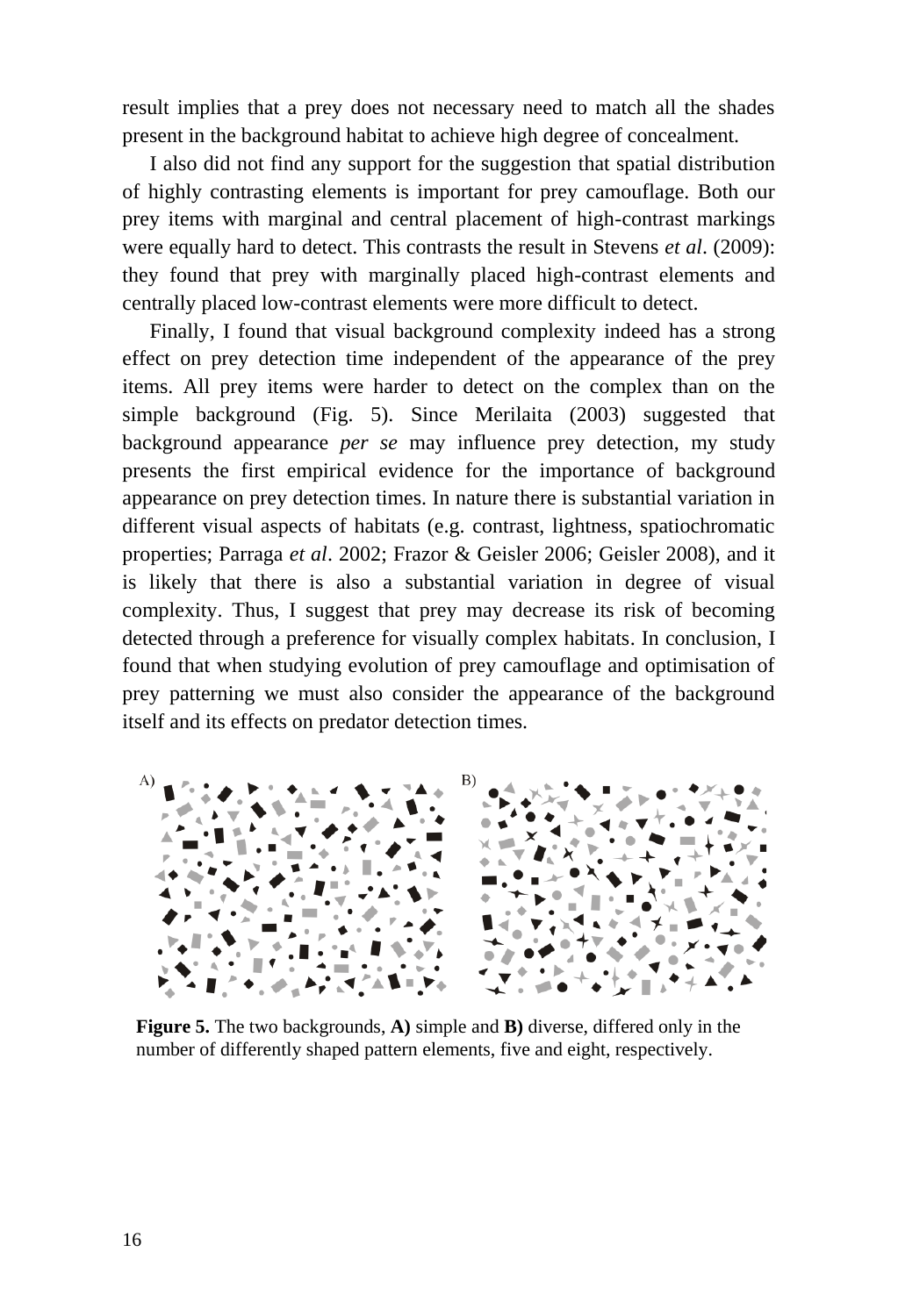result implies that a prey does not necessary need to match all the shades present in the background habitat to achieve high degree of concealment.

I also did not find any support for the suggestion that spatial distribution of highly contrasting elements is important for prey camouflage. Both our prey items with marginal and central placement of high-contrast markings were equally hard to detect. This contrasts the result in Stevens *et al*. (2009): they found that prey with marginally placed high-contrast elements and centrally placed low-contrast elements were more difficult to detect.

Finally, I found that visual background complexity indeed has a strong effect on prey detection time independent of the appearance of the prey items. All prey items were harder to detect on the complex than on the simple background (Fig. 5). Since Merilaita (2003) suggested that background appearance *per se* may influence prey detection, my study presents the first empirical evidence for the importance of background appearance on prey detection times. In nature there is substantial variation in different visual aspects of habitats (e.g. contrast, lightness, spatiochromatic properties; Parraga *et al*. 2002; Frazor & Geisler 2006; Geisler 2008), and it is likely that there is also a substantial variation in degree of visual complexity. Thus, I suggest that prey may decrease its risk of becoming detected through a preference for visually complex habitats. In conclusion, I found that when studying evolution of prey camouflage and optimisation of prey patterning we must also consider the appearance of the background itself and its effects on predator detection times.



**Figure 5.** The two backgrounds, **A)** simple and **B)** diverse, differed only in the number of differently shaped pattern elements, five and eight, respectively.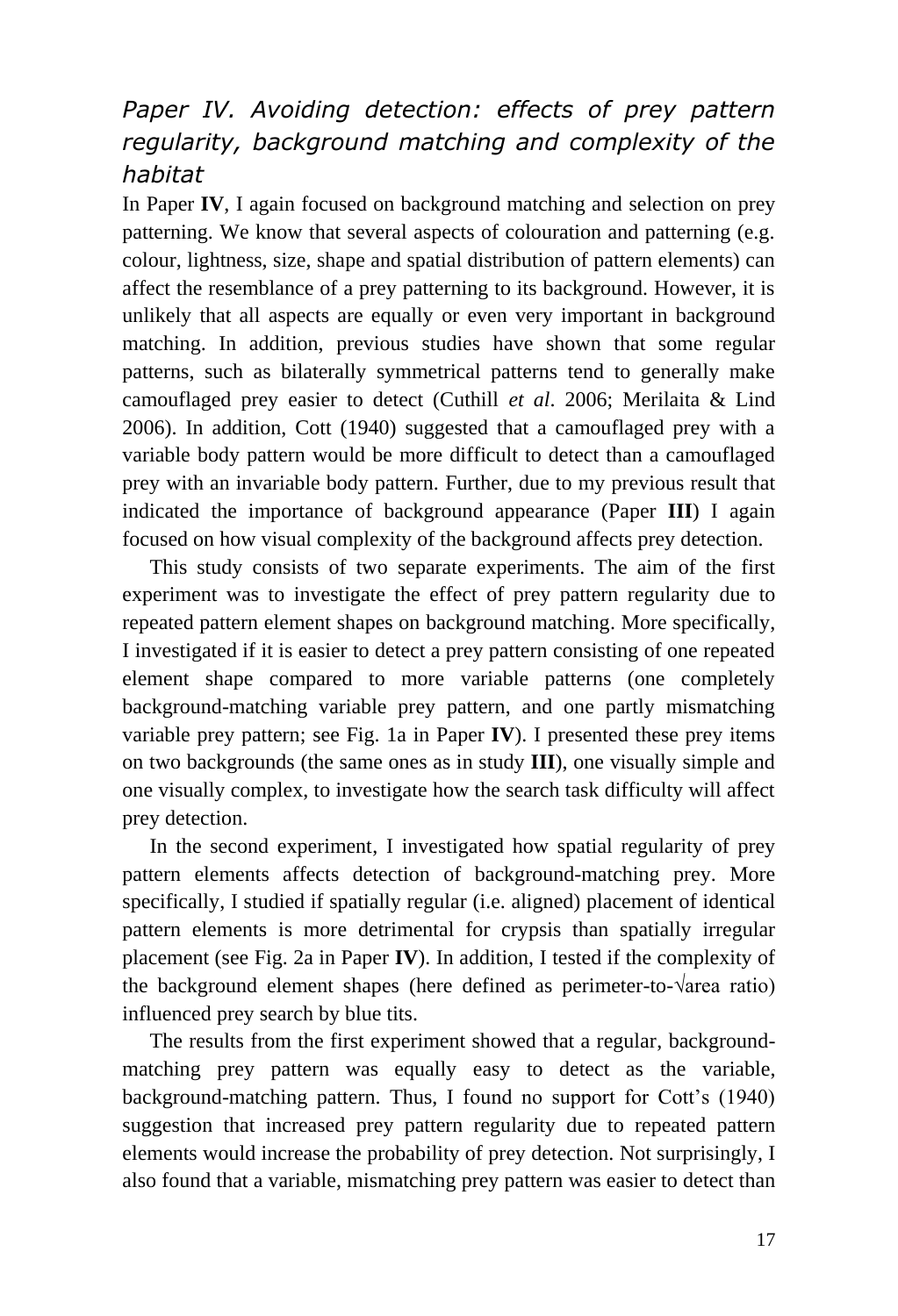## Paper IV. Avoiding detection: effects of prey pattern *regularity, background matching and complexity of the habitat*

In Paper **IV**, I again focused on background matching and selection on prey patterning. We know that several aspects of colouration and patterning (e.g. colour, lightness, size, shape and spatial distribution of pattern elements) can affect the resemblance of a prey patterning to its background. However, it is unlikely that all aspects are equally or even very important in background matching. In addition, previous studies have shown that some regular patterns, such as bilaterally symmetrical patterns tend to generally make camouflaged prey easier to detect (Cuthill *et al*. 2006; Merilaita & Lind 2006). In addition, Cott (1940) suggested that a camouflaged prey with a variable body pattern would be more difficult to detect than a camouflaged prey with an invariable body pattern. Further, due to my previous result that indicated the importance of background appearance (Paper **III**) I again focused on how visual complexity of the background affects prey detection.

This study consists of two separate experiments. The aim of the first experiment was to investigate the effect of prey pattern regularity due to repeated pattern element shapes on background matching. More specifically, I investigated if it is easier to detect a prey pattern consisting of one repeated element shape compared to more variable patterns (one completely background-matching variable prey pattern, and one partly mismatching variable prey pattern; see Fig. 1a in Paper **IV**). I presented these prey items on two backgrounds (the same ones as in study **III**), one visually simple and one visually complex, to investigate how the search task difficulty will affect prey detection.

In the second experiment, I investigated how spatial regularity of prey pattern elements affects detection of background-matching prey. More specifically, I studied if spatially regular (i.e. aligned) placement of identical pattern elements is more detrimental for crypsis than spatially irregular placement (see Fig. 2a in Paper **IV**). In addition, I tested if the complexity of the background element shapes (here defined as perimeter-to-√area ratio) influenced prey search by blue tits.

The results from the first experiment showed that a regular, backgroundmatching prey pattern was equally easy to detect as the variable, background-matching pattern. Thus, I found no support for Cott"s (1940) suggestion that increased prey pattern regularity due to repeated pattern elements would increase the probability of prey detection. Not surprisingly, I also found that a variable, mismatching prey pattern was easier to detect than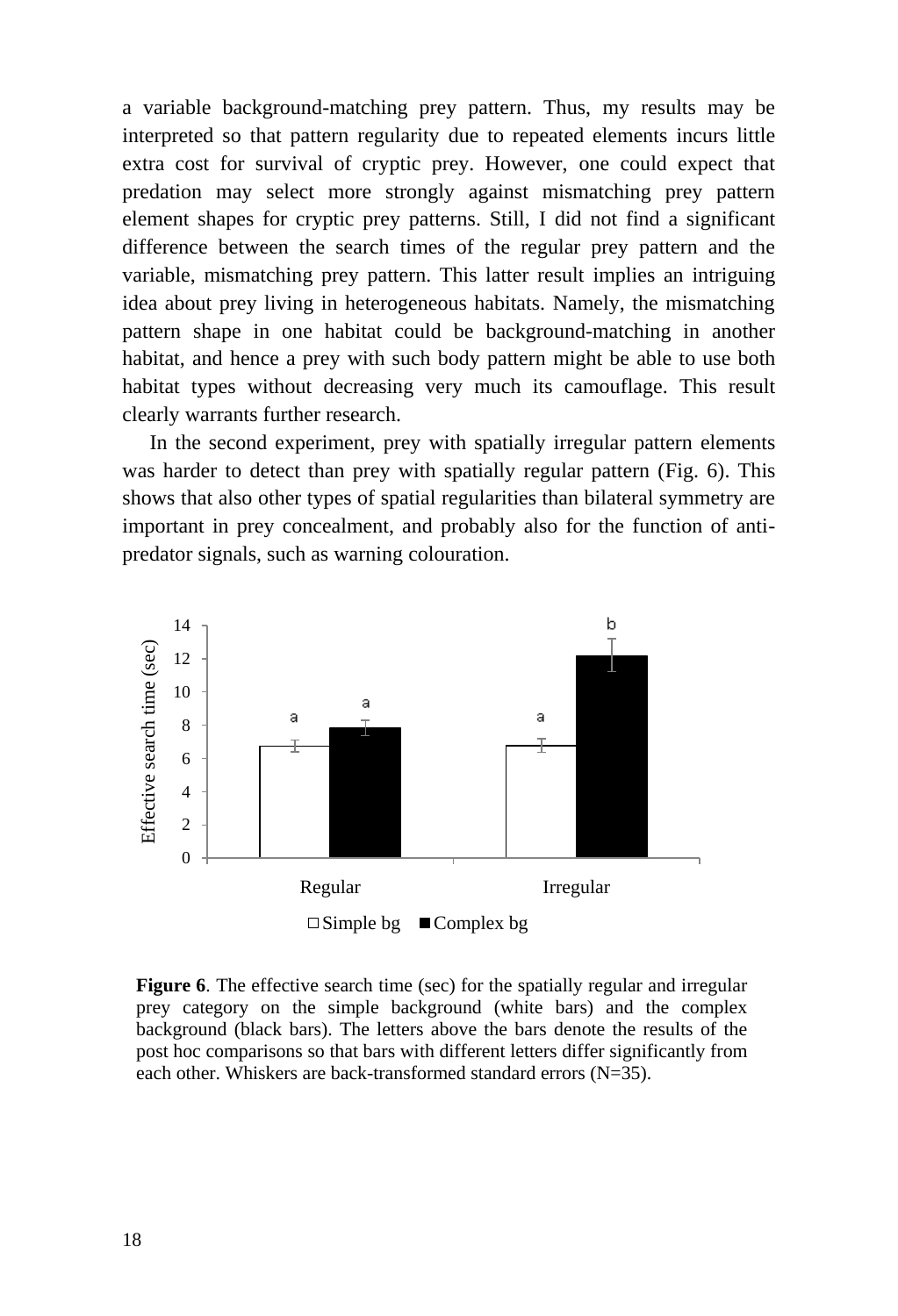a variable background-matching prey pattern. Thus, my results may be interpreted so that pattern regularity due to repeated elements incurs little extra cost for survival of cryptic prey. However, one could expect that predation may select more strongly against mismatching prey pattern element shapes for cryptic prey patterns. Still, I did not find a significant difference between the search times of the regular prey pattern and the variable, mismatching prey pattern. This latter result implies an intriguing idea about prey living in heterogeneous habitats. Namely, the mismatching pattern shape in one habitat could be background-matching in another habitat, and hence a prey with such body pattern might be able to use both habitat types without decreasing very much its camouflage. This result clearly warrants further research.

In the second experiment, prey with spatially irregular pattern elements was harder to detect than prey with spatially regular pattern (Fig. 6). This shows that also other types of spatial regularities than bilateral symmetry are important in prey concealment, and probably also for the function of antipredator signals, such as warning colouration.



**Figure** 6. The effective search time (sec) for the spatially regular and irregular prey category on the simple background (white bars) and the complex background (black bars). The letters above the bars denote the results of the post hoc comparisons so that bars with different letters differ significantly from each other. Whiskers are back-transformed standard errors  $(N=35)$ .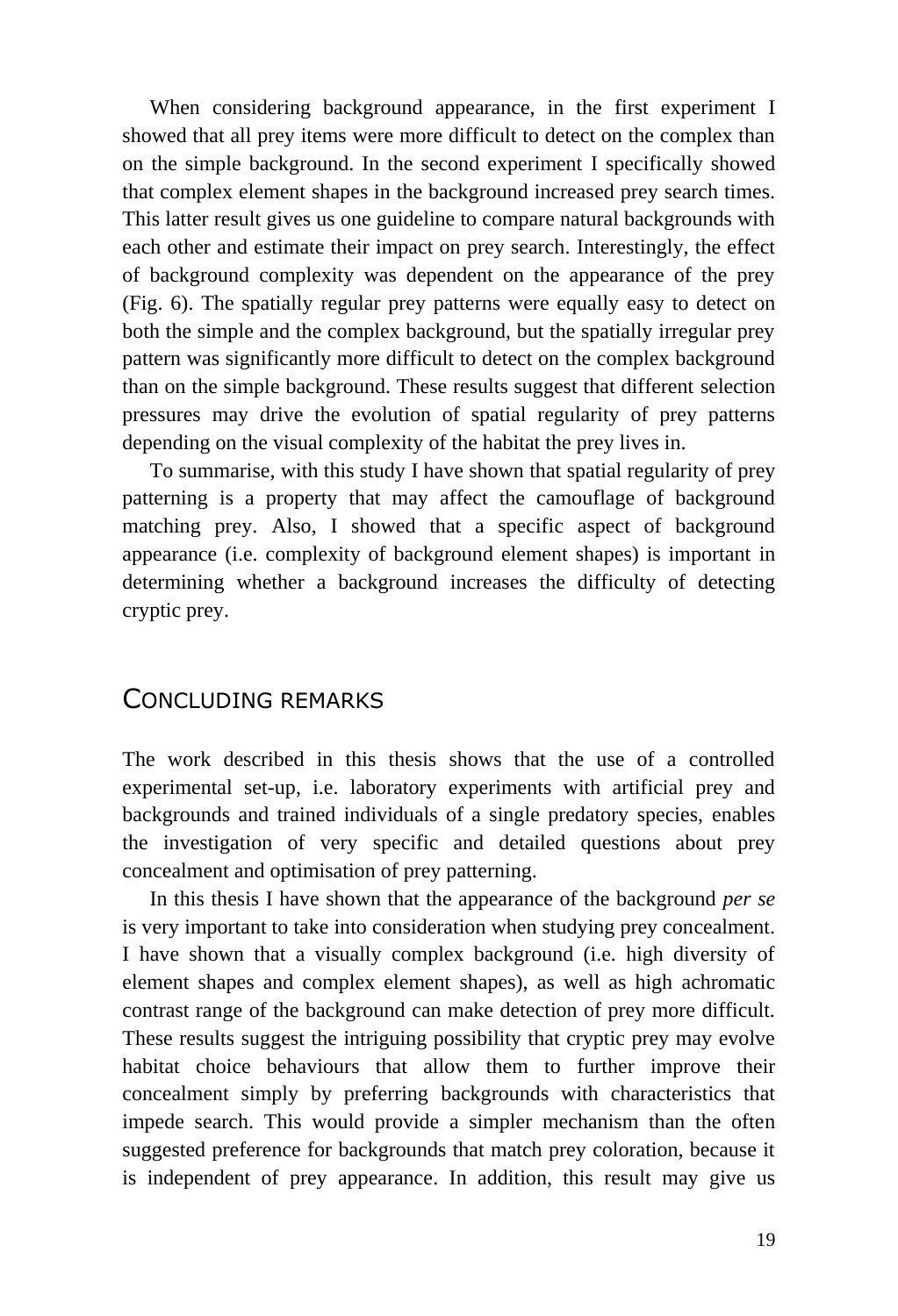When considering background appearance, in the first experiment I showed that all prey items were more difficult to detect on the complex than on the simple background. In the second experiment I specifically showed that complex element shapes in the background increased prey search times. This latter result gives us one guideline to compare natural backgrounds with each other and estimate their impact on prey search. Interestingly, the effect of background complexity was dependent on the appearance of the prey (Fig. 6). The spatially regular prey patterns were equally easy to detect on both the simple and the complex background, but the spatially irregular prey pattern was significantly more difficult to detect on the complex background than on the simple background. These results suggest that different selection pressures may drive the evolution of spatial regularity of prey patterns depending on the visual complexity of the habitat the prey lives in.

To summarise, with this study I have shown that spatial regularity of prey patterning is a property that may affect the camouflage of background matching prey. Also, I showed that a specific aspect of background appearance (i.e. complexity of background element shapes) is important in determining whether a background increases the difficulty of detecting cryptic prey.

#### CONCLUDING REMARKS

The work described in this thesis shows that the use of a controlled experimental set-up, i.e. laboratory experiments with artificial prey and backgrounds and trained individuals of a single predatory species, enables the investigation of very specific and detailed questions about prey concealment and optimisation of prey patterning.

In this thesis I have shown that the appearance of the background *per se* is very important to take into consideration when studying prey concealment. I have shown that a visually complex background (i.e. high diversity of element shapes and complex element shapes), as well as high achromatic contrast range of the background can make detection of prey more difficult. These results suggest the intriguing possibility that cryptic prey may evolve habitat choice behaviours that allow them to further improve their concealment simply by preferring backgrounds with characteristics that impede search. This would provide a simpler mechanism than the often suggested preference for backgrounds that match prey coloration, because it is independent of prey appearance. In addition, this result may give us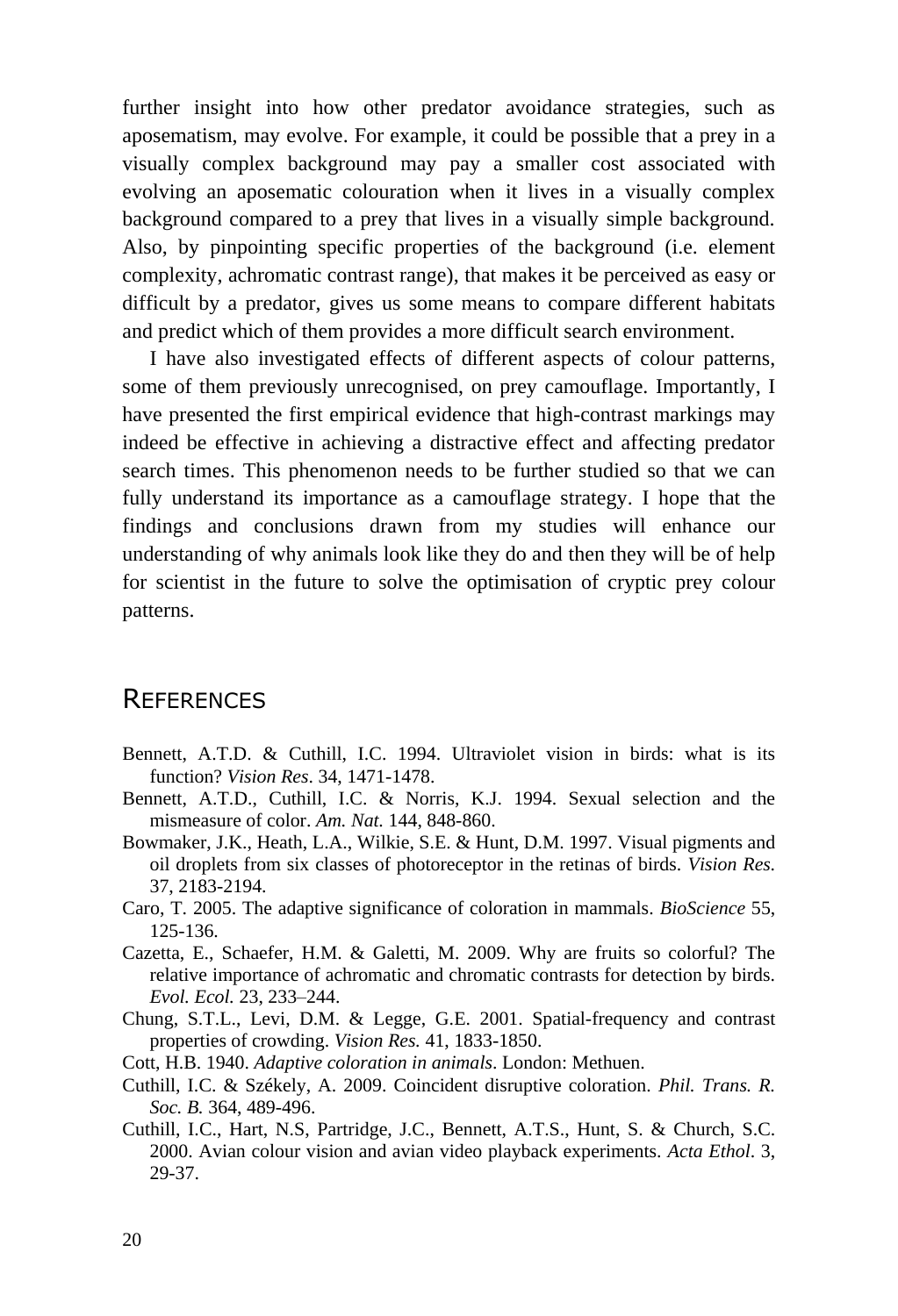further insight into how other predator avoidance strategies, such as aposematism, may evolve. For example, it could be possible that a prey in a visually complex background may pay a smaller cost associated with evolving an aposematic colouration when it lives in a visually complex background compared to a prey that lives in a visually simple background. Also, by pinpointing specific properties of the background (i.e. element complexity, achromatic contrast range), that makes it be perceived as easy or difficult by a predator, gives us some means to compare different habitats and predict which of them provides a more difficult search environment.

I have also investigated effects of different aspects of colour patterns, some of them previously unrecognised, on prey camouflage. Importantly, I have presented the first empirical evidence that high-contrast markings may indeed be effective in achieving a distractive effect and affecting predator search times. This phenomenon needs to be further studied so that we can fully understand its importance as a camouflage strategy. I hope that the findings and conclusions drawn from my studies will enhance our understanding of why animals look like they do and then they will be of help for scientist in the future to solve the optimisation of cryptic prey colour patterns.

### **REFERENCES**

- Bennett, A.T.D. & Cuthill, I.C. 1994. Ultraviolet vision in birds: what is its function? *Vision Res*. 34, 1471-1478.
- Bennett, A.T.D., Cuthill, I.C. & Norris, K.J. 1994. Sexual selection and the mismeasure of color. *Am. Nat.* 144, 848-860.
- Bowmaker, J.K., Heath, L.A., Wilkie, S.E. & Hunt, D.M. 1997. Visual pigments and oil droplets from six classes of photoreceptor in the retinas of birds. *Vision Res.* 37, 2183-2194.
- Caro, T. 2005. The adaptive significance of coloration in mammals. *BioScience* 55, 125-136.
- Cazetta, E., Schaefer, H.M. & Galetti, M. 2009. Why are fruits so colorful? The relative importance of achromatic and chromatic contrasts for detection by birds. *Evol. Ecol.* 23, 233–244.
- Chung, S.T.L., Levi, D.M. & Legge, G.E. 2001. Spatial-frequency and contrast properties of crowding. *Vision Res.* 41, 1833-1850.
- Cott, H.B. 1940. *Adaptive coloration in animals*. London: Methuen.
- Cuthill, I.C. & Székely, A. 2009. Coincident disruptive coloration. *Phil. Trans. R. Soc. B.* 364, 489-496.
- Cuthill, I.C., Hart, N.S, Partridge, J.C., Bennett, A.T.S., Hunt, S. & Church, S.C. 2000. Avian colour vision and avian video playback experiments. *Acta Ethol*. 3, 29-37.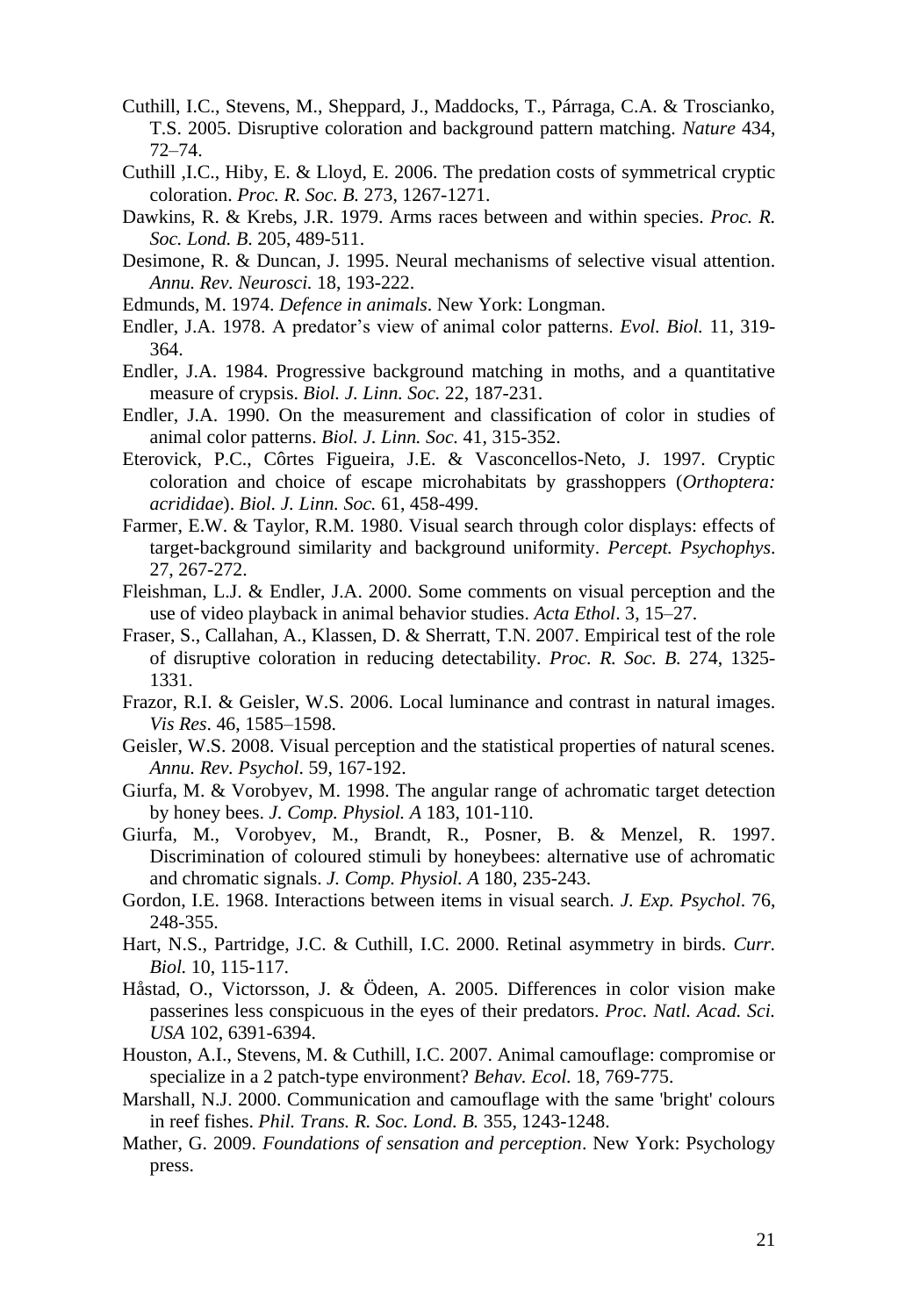- Cuthill, I.C., Stevens, M., Sheppard, J., Maddocks, T., Párraga, C.A. & Troscianko, T.S. 2005. Disruptive coloration and background pattern matching. *Nature* 434, 72–74.
- Cuthill ,I.C., Hiby, E. & Lloyd, E. 2006. The predation costs of symmetrical cryptic coloration. *Proc. R. Soc. B.* 273, 1267-1271.
- Dawkins, R. & Krebs, J.R. 1979. Arms races between and within species. *Proc. R. Soc. Lond. B*. 205, 489-511.
- Desimone, R. & Duncan, J. 1995. Neural mechanisms of selective visual attention. *Annu. Rev. Neurosci.* 18, 193-222.
- Edmunds, M. 1974. *Defence in animals*. New York: Longman.
- Endler, J.A. 1978. A predator"s view of animal color patterns. *Evol. Biol.* 11, 319- 364.
- Endler, J.A. 1984. Progressive background matching in moths, and a quantitative measure of crypsis. *Biol. J. Linn. Soc.* 22, 187-231.
- Endler, J.A. 1990. On the measurement and classification of color in studies of animal color patterns. *Biol. J. Linn. Soc.* 41, 315-352.
- Eterovick, P.C., Côrtes Figueira, J.E. & Vasconcellos-Neto, J. 1997. Cryptic coloration and choice of escape microhabitats by grasshoppers (*Orthoptera: acrididae*). *Biol. J. Linn. Soc.* 61, 458-499.
- Farmer, E.W. & Taylor, R.M. 1980. Visual search through color displays: effects of target-background similarity and background uniformity. *Percept. Psychophys*. 27, 267-272.
- Fleishman, L.J. & Endler, J.A. 2000. Some comments on visual perception and the use of video playback in animal behavior studies. *Acta Ethol*. 3, 15–27.
- Fraser, S., Callahan, A., Klassen, D. & Sherratt, T.N. 2007. Empirical test of the role of disruptive coloration in reducing detectability. *Proc. R. Soc. B.* 274, 1325- 1331.
- Frazor, R.I. & Geisler, W.S. 2006. Local luminance and contrast in natural images. *Vis Res*. 46, 1585–1598.
- Geisler, W.S. 2008. Visual perception and the statistical properties of natural scenes. *Annu. Rev. Psychol*. 59, 167-192.
- Giurfa, M. & Vorobyev, M. 1998. The angular range of achromatic target detection by honey bees. *J. Comp. Physiol. A* 183, 101-110.
- Giurfa, M., Vorobyev, M., Brandt, R., Posner, B. & Menzel, R. 1997. Discrimination of coloured stimuli by honeybees: alternative use of achromatic and chromatic signals. *J. Comp. Physiol. A* 180, 235-243.
- Gordon, I.E. 1968. Interactions between items in visual search. *J. Exp. Psychol*. 76, 248-355.
- Hart, N.S., Partridge, J.C. & Cuthill, I.C. 2000. Retinal asymmetry in birds. *Curr. Biol.* 10, 115-117.
- Håstad, O., Victorsson, J. & Ödeen, A. 2005. Differences in color vision make passerines less conspicuous in the eyes of their predators. *Proc. Natl. Acad. Sci. USA* 102, 6391-6394.
- Houston, A.I., Stevens, M. & Cuthill, I.C. 2007. Animal camouflage: compromise or specialize in a 2 patch-type environment? *Behav. Ecol.* 18, 769-775.
- Marshall, N.J. 2000. Communication and camouflage with the same 'bright' colours in reef fishes. *Phil. Trans. R. Soc. Lond. B.* 355, 1243-1248.
- Mather, G. 2009. *Foundations of sensation and perception*. New York: Psychology press.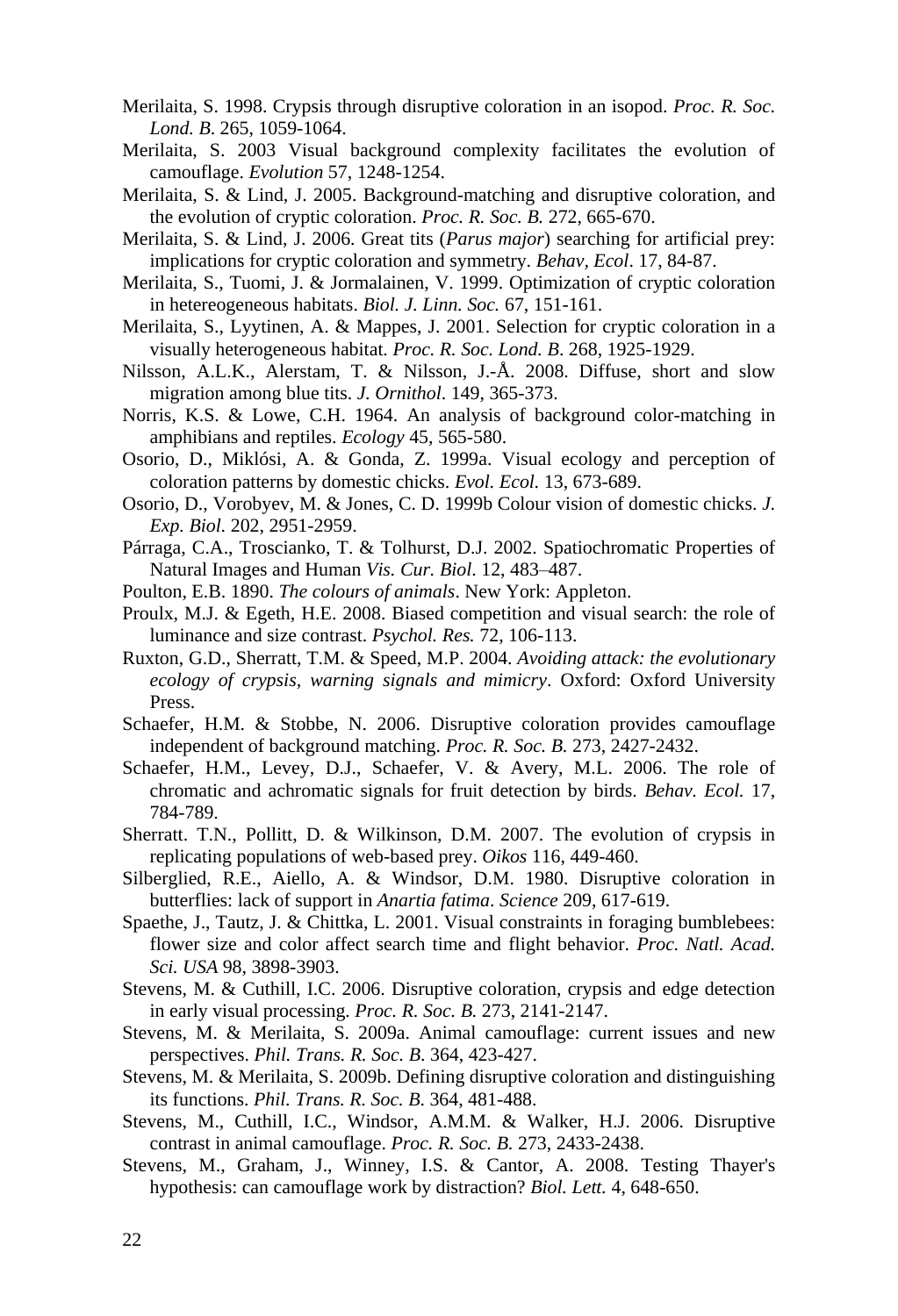- Merilaita, S. 1998. Crypsis through disruptive coloration in an isopod. *Proc. R. Soc. Lond. B*. 265, 1059-1064.
- Merilaita, S. 2003 Visual background complexity facilitates the evolution of camouflage. *Evolution* 57, 1248-1254.
- Merilaita, S. & Lind, J. 2005. Background-matching and disruptive coloration, and the evolution of cryptic coloration. *Proc. R. Soc. B.* 272, 665-670.
- Merilaita, S. & Lind, J. 2006. Great tits (*Parus major*) searching for artificial prey: implications for cryptic coloration and symmetry. *Behav, Ecol*. 17, 84-87.
- Merilaita, S., Tuomi, J. & Jormalainen, V. 1999. Optimization of cryptic coloration in hetereogeneous habitats. *Biol. J. Linn. Soc.* 67, 151-161.
- Merilaita, S., Lyytinen, A. & Mappes, J. 2001. Selection for cryptic coloration in a visually heterogeneous habitat. *Proc. R. Soc. Lond. B*. 268, 1925-1929.
- Nilsson, A.L.K., Alerstam, T. & Nilsson, J.-Å. 2008. Diffuse, short and slow migration among blue tits. *J. Ornithol*. 149, 365-373.
- Norris, K.S. & Lowe, C.H. 1964. An analysis of background color-matching in amphibians and reptiles. *Ecology* 45, 565-580.
- Osorio, D., Miklósi, A. & Gonda, Z. 1999a. Visual ecology and perception of coloration patterns by domestic chicks. *Evol. Ecol.* 13, 673-689.
- Osorio, D., Vorobyev, M. & Jones, C. D. 1999b Colour vision of domestic chicks. *J. Exp. Biol.* 202, 2951-2959.
- Párraga, C.A., Troscianko, T. & Tolhurst, D.J. 2002. Spatiochromatic Properties of Natural Images and Human *Vis. Cur. Biol*. 12, 483–487.
- Poulton, E.B. 1890. *The colours of animals*. New York: Appleton.
- Proulx, M.J. & Egeth, H.E. 2008. Biased competition and visual search: the role of luminance and size contrast. *Psychol. Res.* 72, 106-113.
- Ruxton, G.D., Sherratt, T.M. & Speed, M.P. 2004. *Avoiding attack: the evolutionary ecology of crypsis, warning signals and mimicry*. Oxford: Oxford University Press.
- Schaefer, H.M. & Stobbe, N. 2006. Disruptive coloration provides camouflage independent of background matching. *Proc. R. Soc. B.* 273, 2427-2432.
- Schaefer, H.M., Levey, D.J., Schaefer, V. & Avery, M.L. 2006. The role of chromatic and achromatic signals for fruit detection by birds. *Behav. Ecol.* 17, 784-789.
- Sherratt. T.N., Pollitt, D. & Wilkinson, D.M. 2007. The evolution of crypsis in replicating populations of web-based prey. *Oikos* 116, 449-460.
- Silberglied, R.E., Aiello, A. & Windsor, D.M. 1980. Disruptive coloration in butterflies: lack of support in *Anartia fatima*. *Science* 209, 617-619.
- Spaethe, J., Tautz, J. & Chittka, L. 2001. Visual constraints in foraging bumblebees: flower size and color affect search time and flight behavior. *Proc. Natl. Acad. Sci. USA* 98, 3898-3903.
- Stevens, M. & Cuthill, I.C. 2006. Disruptive coloration, crypsis and edge detection in early visual processing. *Proc. R. Soc. B.* 273, 2141-2147.
- Stevens, M. & Merilaita, S. 2009a. Animal camouflage: current issues and new perspectives. *Phil. Trans. R. Soc. B*. 364, 423-427.
- Stevens, M. & Merilaita, S. 2009b. Defining disruptive coloration and distinguishing its functions. *Phil. Trans. R. Soc. B*. 364, 481-488.
- Stevens, M., Cuthill, I.C., Windsor, A.M.M. & Walker, H.J. 2006. Disruptive contrast in animal camouflage. *Proc. R. Soc. B.* 273, 2433-2438.
- Stevens, M., Graham, J., Winney, I.S. & Cantor, A. 2008. Testing Thayer's hypothesis: can camouflage work by distraction? *Biol. Lett.* 4, 648-650.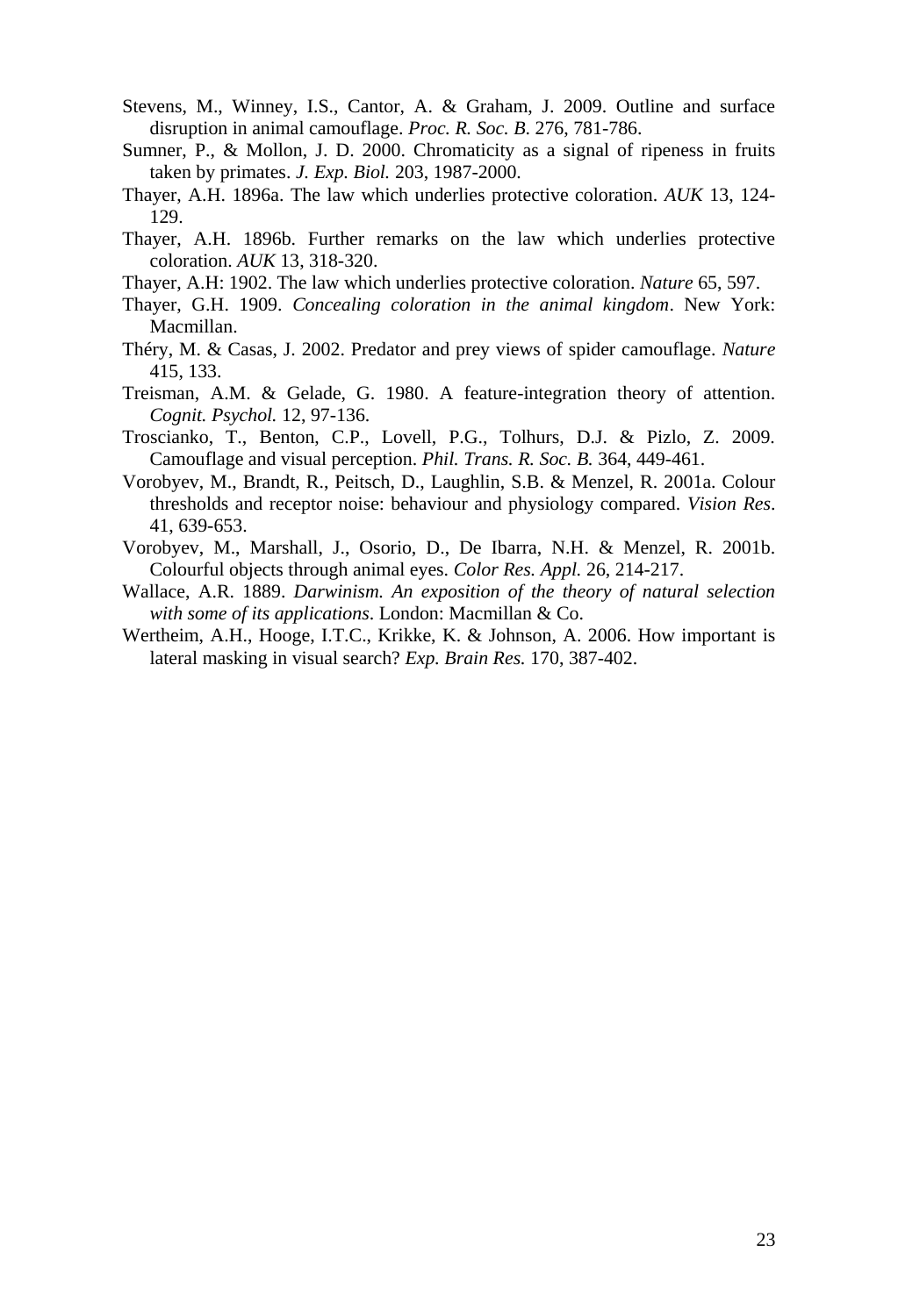- Stevens, M., Winney, I.S., Cantor, A. & Graham, J. 2009. Outline and surface disruption in animal camouflage. *Proc. R. Soc. B*. 276, 781-786.
- Sumner, P., & Mollon, J. D. 2000. Chromaticity as a signal of ripeness in fruits taken by primates. *J. Exp. Biol.* 203, 1987-2000.
- Thayer, A.H. 1896a. The law which underlies protective coloration. *AUK* 13, 124- 129.
- Thayer, A.H. 1896b. Further remarks on the law which underlies protective coloration. *AUK* 13, 318-320.
- Thayer, A.H: 1902. The law which underlies protective coloration. *Nature* 65, 597.
- Thayer, G.H. 1909. *Concealing coloration in the animal kingdom*. New York: Macmillan.
- Théry, M. & Casas, J. 2002. Predator and prey views of spider camouflage. *Nature* 415, 133.
- Treisman, A.M. & Gelade, G. 1980. A feature-integration theory of attention. *Cognit. Psychol.* 12, 97-136.
- Troscianko, T., Benton, C.P., Lovell, P.G., Tolhurs, D.J. & Pizlo, Z. 2009. Camouflage and visual perception. *Phil. Trans. R. Soc. B.* 364, 449-461.
- Vorobyev, M., Brandt, R., Peitsch, D., Laughlin, S.B. & Menzel, R. 2001a. Colour thresholds and receptor noise: behaviour and physiology compared. *Vision Res*. 41, 639-653.
- Vorobyev, M., Marshall, J., Osorio, D., De Ibarra, N.H. & Menzel, R. 2001b. Colourful objects through animal eyes. *Color Res. Appl.* 26, 214-217.
- Wallace, A.R. 1889. *Darwinism. An exposition of the theory of natural selection with some of its applications*. London: Macmillan & Co.
- Wertheim, A.H., Hooge, I.T.C., Krikke, K. & Johnson, A. 2006. How important is lateral masking in visual search? *Exp. Brain Res.* 170, 387-402.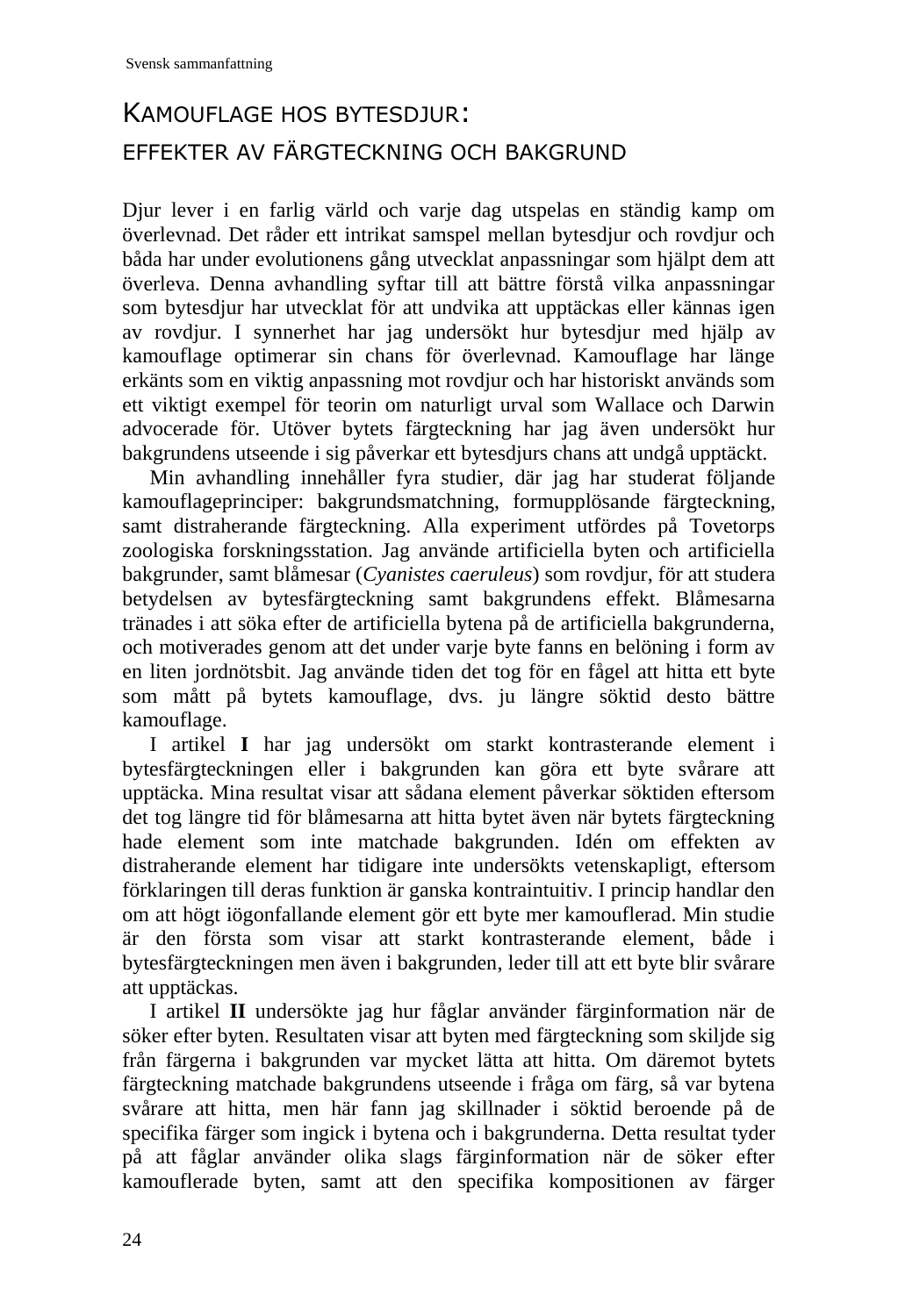# KAMOUFLAGE HOS BYTESDJUR: EFFEKTER AV FÄRGTECKNING OCH BAKGRUND

Djur lever i en farlig värld och varje dag utspelas en ständig kamp om överlevnad. Det råder ett intrikat samspel mellan bytesdjur och rovdjur och båda har under evolutionens gång utvecklat anpassningar som hjälpt dem att överleva. Denna avhandling syftar till att bättre förstå vilka anpassningar som bytesdjur har utvecklat för att undvika att upptäckas eller kännas igen av rovdjur. I synnerhet har jag undersökt hur bytesdjur med hjälp av kamouflage optimerar sin chans för överlevnad. Kamouflage har länge erkänts som en viktig anpassning mot rovdjur och har historiskt används som ett viktigt exempel för teorin om naturligt urval som Wallace och Darwin advocerade för. Utöver bytets färgteckning har jag även undersökt hur bakgrundens utseende i sig påverkar ett bytesdjurs chans att undgå upptäckt.

Min avhandling innehåller fyra studier, där jag har studerat följande kamouflageprinciper: bakgrundsmatchning, formupplösande färgteckning, samt distraherande färgteckning. Alla experiment utfördes på Tovetorps zoologiska forskningsstation. Jag använde artificiella byten och artificiella bakgrunder, samt blåmesar (*Cyanistes caeruleus*) som rovdjur, för att studera betydelsen av bytesfärgteckning samt bakgrundens effekt. Blåmesarna tränades i att söka efter de artificiella bytena på de artificiella bakgrunderna, och motiverades genom att det under varje byte fanns en belöning i form av en liten jordnötsbit. Jag använde tiden det tog för en fågel att hitta ett byte som mått på bytets kamouflage, dvs. ju längre söktid desto bättre kamouflage.

I artikel **I** har jag undersökt om starkt kontrasterande element i bytesfärgteckningen eller i bakgrunden kan göra ett byte svårare att upptäcka. Mina resultat visar att sådana element påverkar söktiden eftersom det tog längre tid för blåmesarna att hitta bytet även när bytets färgteckning hade element som inte matchade bakgrunden. Idén om effekten av distraherande element har tidigare inte undersökts vetenskapligt, eftersom förklaringen till deras funktion är ganska kontraintuitiv. I princip handlar den om att högt iögonfallande element gör ett byte mer kamouflerad. Min studie är den första som visar att starkt kontrasterande element, både i bytesfärgteckningen men även i bakgrunden, leder till att ett byte blir svårare att upptäckas.

I artikel **II** undersökte jag hur fåglar använder färginformation när de söker efter byten. Resultaten visar att byten med färgteckning som skiljde sig från färgerna i bakgrunden var mycket lätta att hitta. Om däremot bytets färgteckning matchade bakgrundens utseende i fråga om färg, så var bytena svårare att hitta, men här fann jag skillnader i söktid beroende på de specifika färger som ingick i bytena och i bakgrunderna. Detta resultat tyder på att fåglar använder olika slags färginformation när de söker efter kamouflerade byten, samt att den specifika kompositionen av färger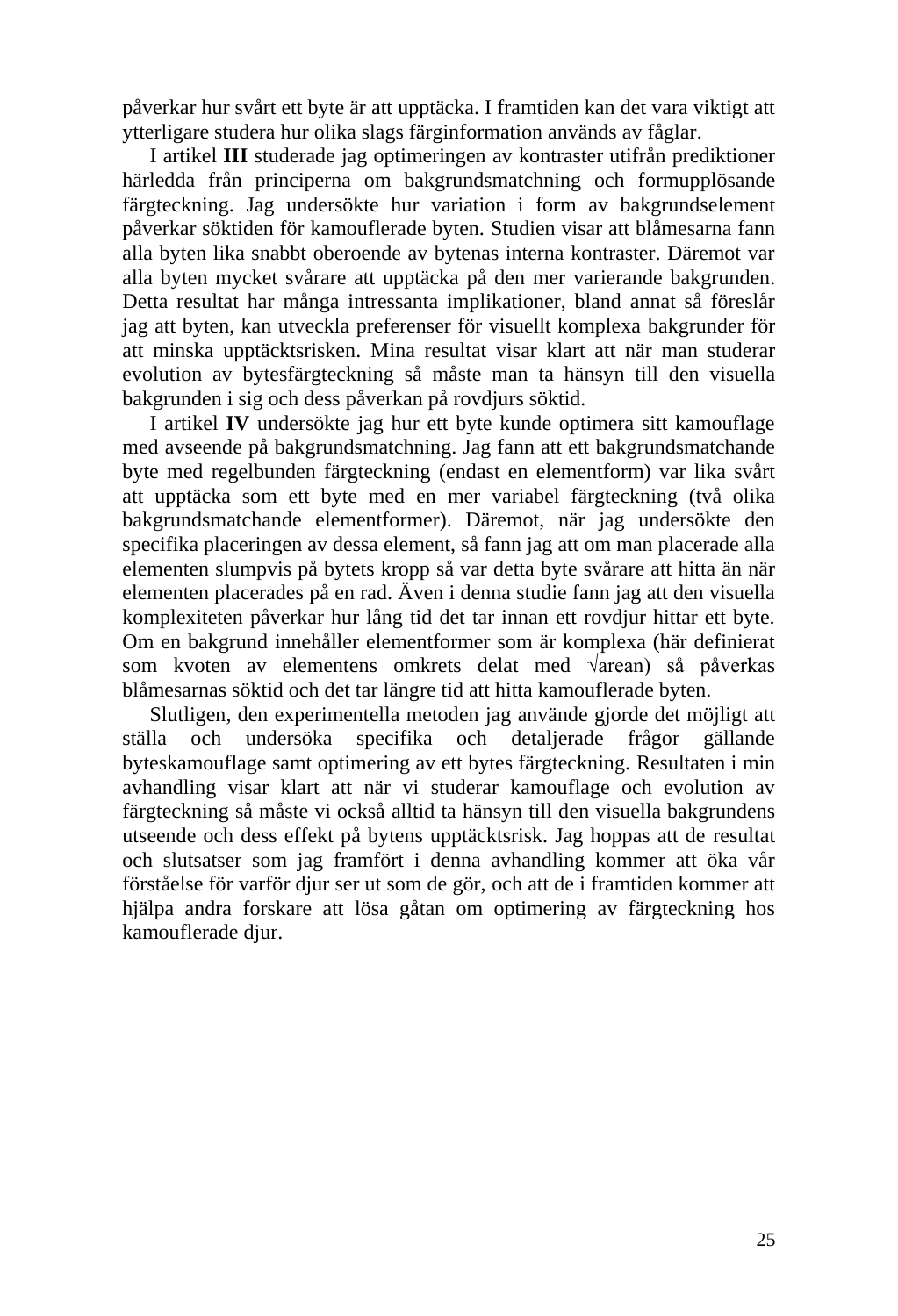påverkar hur svårt ett byte är att upptäcka. I framtiden kan det vara viktigt att ytterligare studera hur olika slags färginformation används av fåglar.

I artikel **III** studerade jag optimeringen av kontraster utifrån prediktioner härledda från principerna om bakgrundsmatchning och formupplösande färgteckning. Jag undersökte hur variation i form av bakgrundselement påverkar söktiden för kamouflerade byten. Studien visar att blåmesarna fann alla byten lika snabbt oberoende av bytenas interna kontraster. Däremot var alla byten mycket svårare att upptäcka på den mer varierande bakgrunden. Detta resultat har många intressanta implikationer, bland annat så föreslår jag att byten, kan utveckla preferenser för visuellt komplexa bakgrunder för att minska upptäcktsrisken. Mina resultat visar klart att när man studerar evolution av bytesfärgteckning så måste man ta hänsyn till den visuella bakgrunden i sig och dess påverkan på rovdjurs söktid.

I artikel **IV** undersökte jag hur ett byte kunde optimera sitt kamouflage med avseende på bakgrundsmatchning. Jag fann att ett bakgrundsmatchande byte med regelbunden färgteckning (endast en elementform) var lika svårt att upptäcka som ett byte med en mer variabel färgteckning (två olika bakgrundsmatchande elementformer). Däremot, när jag undersökte den specifika placeringen av dessa element, så fann jag att om man placerade alla elementen slumpvis på bytets kropp så var detta byte svårare att hitta än när elementen placerades på en rad. Även i denna studie fann jag att den visuella komplexiteten påverkar hur lång tid det tar innan ett rovdjur hittar ett byte. Om en bakgrund innehåller elementformer som är komplexa (här definierat som kvoten av elementens omkrets delat med √arean) så påverkas blåmesarnas söktid och det tar längre tid att hitta kamouflerade byten.

Slutligen, den experimentella metoden jag använde gjorde det möjligt att ställa och undersöka specifika och detaljerade frågor gällande byteskamouflage samt optimering av ett bytes färgteckning. Resultaten i min avhandling visar klart att när vi studerar kamouflage och evolution av färgteckning så måste vi också alltid ta hänsyn till den visuella bakgrundens utseende och dess effekt på bytens upptäcktsrisk. Jag hoppas att de resultat och slutsatser som jag framfört i denna avhandling kommer att öka vår förståelse för varför djur ser ut som de gör, och att de i framtiden kommer att hjälpa andra forskare att lösa gåtan om optimering av färgteckning hos kamouflerade djur.